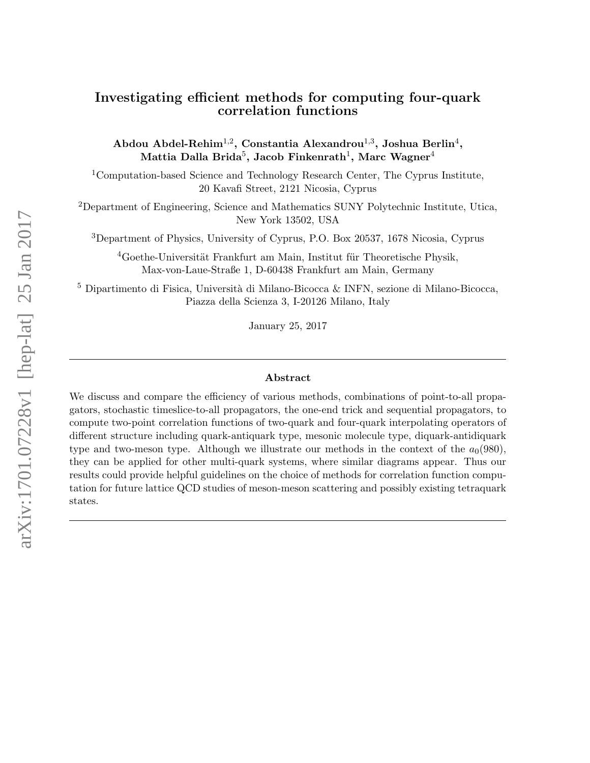# Investigating efficient methods for computing four-quark correlation functions

Abdou Abdel-Rehim $^{1,2}$ , Constantia Alexandrou $^{1,3}$ , Joshua Berlin $^4,$ Mattia Dalla Brida $^5\!$ , Jacob Finkenrath $^1\!$ , Marc Wagner $^4$ 

<sup>1</sup>Computation-based Science and Technology Research Center, The Cyprus Institute, 20 Kavafi Street, 2121 Nicosia, Cyprus

<sup>2</sup>Department of Engineering, Science and Mathematics SUNY Polytechnic Institute, Utica, New York 13502, USA

<sup>3</sup>Department of Physics, University of Cyprus, P.O. Box 20537, 1678 Nicosia, Cyprus

 ${}^{4}$ Goethe-Universität Frankfurt am Main, Institut für Theoretische Physik, Max-von-Laue-Straße 1, D-60438 Frankfurt am Main, Germany

 $^5$  Dipartimento di Fisica, Università di Milano-Bicocca & INFN, sezione di Milano-Bicocca, Piazza della Scienza 3, I-20126 Milano, Italy

January 25, 2017

#### Abstract

We discuss and compare the efficiency of various methods, combinations of point-to-all propagators, stochastic timeslice-to-all propagators, the one-end trick and sequential propagators, to compute two-point correlation functions of two-quark and four-quark interpolating operators of different structure including quark-antiquark type, mesonic molecule type, diquark-antidiquark type and two-meson type. Although we illustrate our methods in the context of the  $a_0(980)$ , they can be applied for other multi-quark systems, where similar diagrams appear. Thus our results could provide helpful guidelines on the choice of methods for correlation function computation for future lattice QCD studies of meson-meson scattering and possibly existing tetraquark states.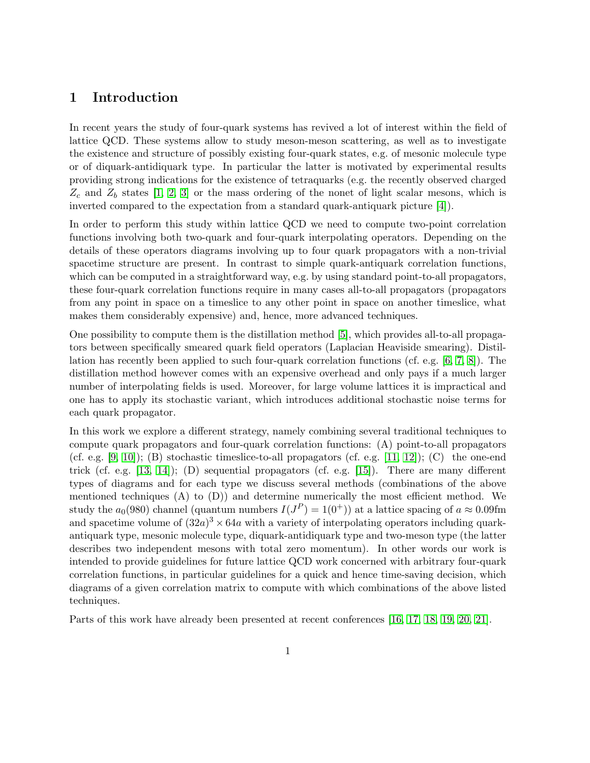# 1 Introduction

In recent years the study of four-quark systems has revived a lot of interest within the field of lattice QCD. These systems allow to study meson-meson scattering, as well as to investigate the existence and structure of possibly existing four-quark states, e.g. of mesonic molecule type or of diquark-antidiquark type. In particular the latter is motivated by experimental results providing strong indications for the existence of tetraquarks (e.g. the recently observed charged  $Z_c$  and  $Z_b$  states [\[1,](#page-44-0) [2,](#page-44-1) [3\]](#page-44-2) or the mass ordering of the nonet of light scalar mesons, which is inverted compared to the expectation from a standard quark-antiquark picture [\[4\]](#page-44-3)).

In order to perform this study within lattice QCD we need to compute two-point correlation functions involving both two-quark and four-quark interpolating operators. Depending on the details of these operators diagrams involving up to four quark propagators with a non-trivial spacetime structure are present. In contrast to simple quark-antiquark correlation functions, which can be computed in a straightforward way, e.g. by using standard point-to-all propagators, these four-quark correlation functions require in many cases all-to-all propagators (propagators from any point in space on a timeslice to any other point in space on another timeslice, what makes them considerably expensive) and, hence, more advanced techniques.

One possibility to compute them is the distillation method [\[5\]](#page-44-4), which provides all-to-all propagators between specifically smeared quark field operators (Laplacian Heaviside smearing). Distillation has recently been applied to such four-quark correlation functions (cf. e.g. [\[6,](#page-44-5) [7,](#page-44-6) [8\]](#page-44-7)). The distillation method however comes with an expensive overhead and only pays if a much larger number of interpolating fields is used. Moreover, for large volume lattices it is impractical and one has to apply its stochastic variant, which introduces additional stochastic noise terms for each quark propagator.

In this work we explore a different strategy, namely combining several traditional techniques to compute quark propagators and four-quark correlation functions: (A) point-to-all propagators (cf. e.g.  $[9, 10]$  $[9, 10]$ ); (B) stochastic timeslice-to-all propagators (cf. e.g.  $[11, 12]$  $[11, 12]$ ); (C) the one-end trick (cf. e.g.  $[13, 14]$  $[13, 14]$ ); (D) sequential propagators (cf. e.g.  $[15]$ ). There are many different types of diagrams and for each type we discuss several methods (combinations of the above mentioned techniques  $(A)$  to  $(D)$ ) and determine numerically the most efficient method. We study the  $a_0(980)$  channel (quantum numbers  $I(J^P) = 1(0^+)$ ) at a lattice spacing of  $a \approx 0.09$ fm and spacetime volume of  $(32a)^3 \times 64a$  with a variety of interpolating operators including quarkantiquark type, mesonic molecule type, diquark-antidiquark type and two-meson type (the latter describes two independent mesons with total zero momentum). In other words our work is intended to provide guidelines for future lattice QCD work concerned with arbitrary four-quark correlation functions, in particular guidelines for a quick and hence time-saving decision, which diagrams of a given correlation matrix to compute with which combinations of the above listed techniques.

Parts of this work have already been presented at recent conferences [\[16,](#page-45-2) [17,](#page-45-3) [18,](#page-45-4) [19,](#page-45-5) [20,](#page-45-6) [21\]](#page-45-7).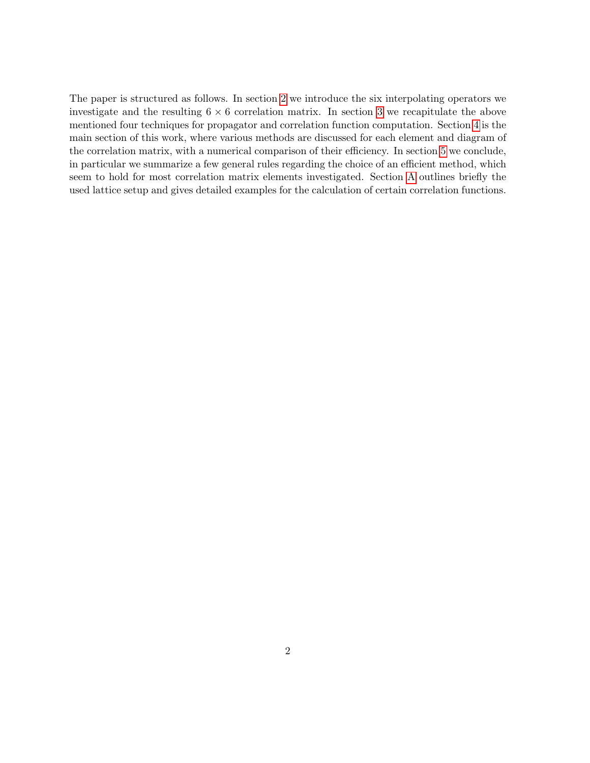The paper is structured as follows. In section [2](#page-3-0) we introduce the six interpolating operators we investigate and the resulting  $6 \times 6$  correlation matrix. In section [3](#page-6-0) we recapitulate the above mentioned four techniques for propagator and correlation function computation. Section [4](#page-12-0) is the main section of this work, where various methods are discussed for each element and diagram of the correlation matrix, with a numerical comparison of their efficiency. In section [5](#page-37-0) we conclude, in particular we summarize a few general rules regarding the choice of an efficient method, which seem to hold for most correlation matrix elements investigated. Section [A](#page-40-0) outlines briefly the used lattice setup and gives detailed examples for the calculation of certain correlation functions.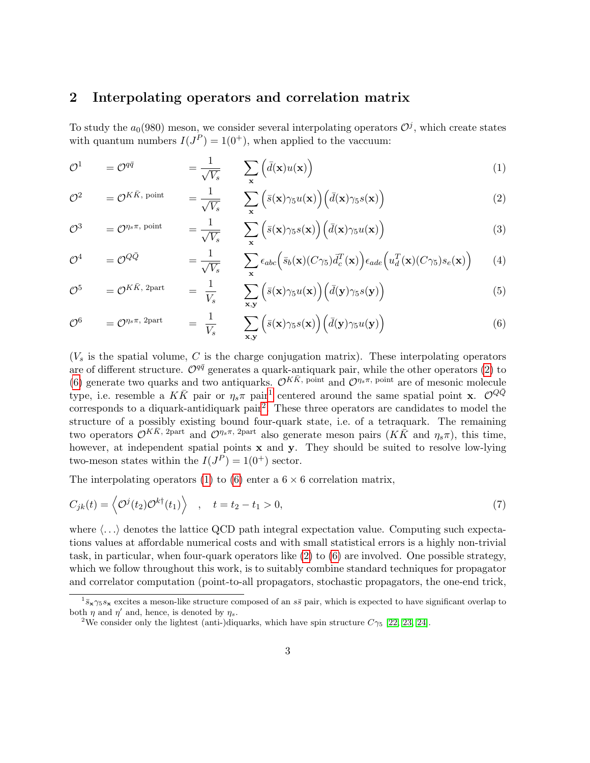# <span id="page-3-0"></span>2 Interpolating operators and correlation matrix

To study the  $a_0(980)$  meson, we consider several interpolating operators  $\mathcal{O}^j$ , which create states with quantum numbers  $I(J^P) = 1(0^+)$ , when applied to the vaccuum:

<span id="page-3-5"></span>
$$
\mathcal{O}^1 \qquad = \mathcal{O}^{q\bar{q}} \qquad \qquad = \frac{1}{\sqrt{V_s}} \qquad \sum_{\mathbf{x}} \left( \bar{d}(\mathbf{x}) u(\mathbf{x}) \right) \tag{1}
$$

<span id="page-3-1"></span>
$$
\mathcal{O}^2 = \mathcal{O}^{K\bar{K}, \text{ point}} = \frac{1}{\sqrt{V_s}} \sum_{\mathbf{x}} \left( \bar{s}(\mathbf{x}) \gamma_5 u(\mathbf{x}) \right) \left( \bar{d}(\mathbf{x}) \gamma_5 s(\mathbf{x}) \right) \tag{2}
$$

<span id="page-3-7"></span>
$$
\mathcal{O}^3 = \mathcal{O}^{\eta_s \pi, \text{ point}} = \frac{1}{\sqrt{V_s}} \sum_{\mathbf{x}} \left( \bar{s}(\mathbf{x}) \gamma_5 s(\mathbf{x}) \right) \left( \bar{d}(\mathbf{x}) \gamma_5 u(\mathbf{x}) \right)
$$
(3)

<span id="page-3-8"></span>
$$
\mathcal{O}^4 \qquad = \mathcal{O}^{Q\bar{Q}} \qquad \qquad = \frac{1}{\sqrt{V_s}} \qquad \sum_{\mathbf{x}} \epsilon_{abc} \Big( \bar{s}_b(\mathbf{x}) (C\gamma_5) \bar{d}_c^T(\mathbf{x}) \Big) \epsilon_{ade} \Big( u_d^T(\mathbf{x}) (C\gamma_5) s_e(\mathbf{x}) \Big) \qquad (4)
$$

$$
\mathcal{O}^5 = \mathcal{O}^{K\bar{K}, 2\text{part}} = \frac{1}{V_s} \sum_{\mathbf{x}, \mathbf{y}} \left( \bar{s}(\mathbf{x}) \gamma_5 u(\mathbf{x}) \right) \left( \bar{d}(\mathbf{y}) \gamma_5 s(\mathbf{y}) \right)
$$
(5)

<span id="page-3-2"></span>
$$
\mathcal{O}^6 = \mathcal{O}^{\eta_s \pi, 2\text{part}} = \frac{1}{V_s} \sum_{\mathbf{x}, \mathbf{y}} \left( \bar{s}(\mathbf{x}) \gamma_5 s(\mathbf{x}) \right) \left( \bar{d}(\mathbf{y}) \gamma_5 u(\mathbf{y}) \right) \tag{6}
$$

 $(V<sub>s</sub>$  is the spatial volume, C is the charge conjugation matrix). These interpolating operators are of different structure.  $\mathcal{O}^{q\bar{q}}$  generates a quark-antiquark pair, while the other operators [\(2\)](#page-3-1) to [\(6\)](#page-3-2) generate two quarks and two antiquarks.  $\mathcal{O}^{K\bar{K}}$ , point and  $\mathcal{O}^{\eta_s\pi}$ , point are of mesonic molecule type, i.e. resemble a  $K\bar{K}$  pair or  $\eta_s\pi$  pair<sup>[1](#page-3-3)</sup> centered around the same spatial point **x**.  $\mathcal{O}^{Q\bar{Q}}$ corresponds to a diquark-antidiquark pair<sup>[2](#page-3-4)</sup>. These three operators are candidates to model the structure of a possibly existing bound four-quark state, i.e. of a tetraquark. The remaining two operators  $\mathcal{O}^{K\bar{K}$ , 2part and  $\mathcal{O}^{\eta_s\pi}$ , 2part also generate meson pairs  $(K\bar{K}$  and  $\eta_s\pi)$ , this time, however, at independent spatial points  $x$  and  $y$ . They should be suited to resolve low-lying two-meson states within the  $I(J^P) = 1(0^+)$  sector.

The interpolating operators [\(1\)](#page-3-5) to [\(6\)](#page-3-2) enter a  $6 \times 6$  correlation matrix,

<span id="page-3-6"></span>
$$
C_{jk}(t) = \left\langle \mathcal{O}^{j}(t_2)\mathcal{O}^{k\dagger}(t_1) \right\rangle , \quad t = t_2 - t_1 > 0,
$$
\n
$$
(7)
$$

where  $\langle \ldots \rangle$  denotes the lattice QCD path integral expectation value. Computing such expectations values at affordable numerical costs and with small statistical errors is a highly non-trivial task, in particular, when four-quark operators like [\(2\)](#page-3-1) to [\(6\)](#page-3-2) are involved. One possible strategy, which we follow throughout this work, is to suitably combine standard techniques for propagator and correlator computation (point-to-all propagators, stochastic propagators, the one-end trick,

<span id="page-3-3"></span> $1_{\bar{s}} \times \gamma_5 s_{\bf x}$  excites a meson-like structure composed of an  $s\bar{s}$  pair, which is expected to have significant overlap to both  $\eta$  and  $\eta'$  and, hence, is denoted by  $\eta_s$ .

<span id="page-3-4"></span><sup>&</sup>lt;sup>2</sup>We consider only the lightest (anti-)diquarks, which have spin structure  $C_{\gamma_5}$  [\[22,](#page-45-8) [23,](#page-45-9) [24\]](#page-45-10).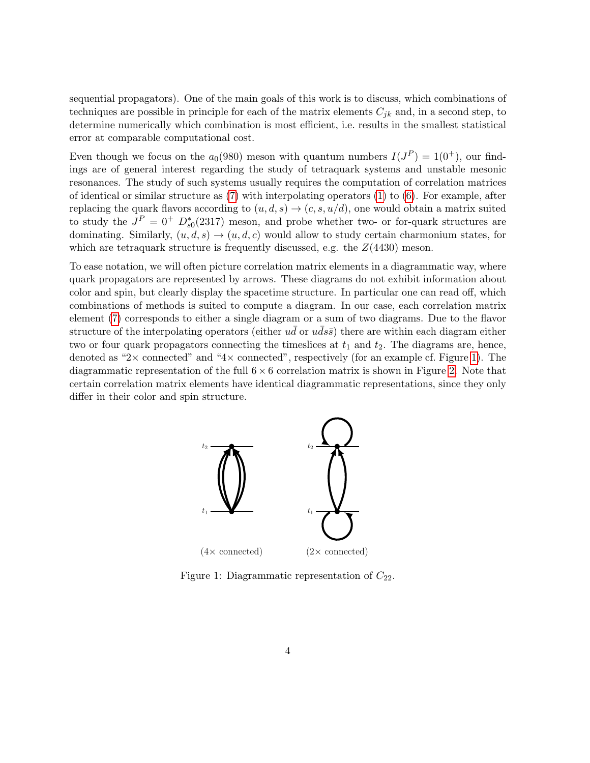sequential propagators). One of the main goals of this work is to discuss, which combinations of techniques are possible in principle for each of the matrix elements  $C_{ik}$  and, in a second step, to determine numerically which combination is most efficient, i.e. results in the smallest statistical error at comparable computational cost.

Even though we focus on the  $a_0(980)$  meson with quantum numbers  $I(J^P) = 1(0^+),$  our findings are of general interest regarding the study of tetraquark systems and unstable mesonic resonances. The study of such systems usually requires the computation of correlation matrices of identical or similar structure as  $(7)$  with interpolating operators  $(1)$  to  $(6)$ . For example, after replacing the quark flavors according to  $(u, d, s) \rightarrow (c, s, u/d)$ , one would obtain a matrix suited to study the  $J^P = 0^+$   $D_{s0}^*(2317)$  meson, and probe whether two- or for-quark structures are dominating. Similarly,  $(u, d, s) \rightarrow (u, d, c)$  would allow to study certain charmonium states, for which are tetraquark structure is frequently discussed, e.g. the  $Z(4430)$  meson.

To ease notation, we will often picture correlation matrix elements in a diagrammatic way, where quark propagators are represented by arrows. These diagrams do not exhibit information about color and spin, but clearly display the spacetime structure. In particular one can read off, which combinations of methods is suited to compute a diagram. In our case, each correlation matrix element [\(7\)](#page-3-6) corresponds to either a single diagram or a sum of two diagrams. Due to the flavor structure of the interpolating operators (either  $u\bar{d}$  or  $u\bar{d}s\bar{s}$ ) there are within each diagram either two or four quark propagators connecting the timeslices at  $t_1$  and  $t_2$ . The diagrams are, hence, denoted as "2 $\times$  connected" and "4 $\times$  connected", respectively (for an example cf. Figure [1\)](#page-4-0). The diagrammatic representation of the full  $6 \times 6$  correlation matrix is shown in Figure [2.](#page-5-0) Note that certain correlation matrix elements have identical diagrammatic representations, since they only differ in their color and spin structure.

<span id="page-4-0"></span>

Figure 1: Diagrammatic representation of  $C_{22}$ .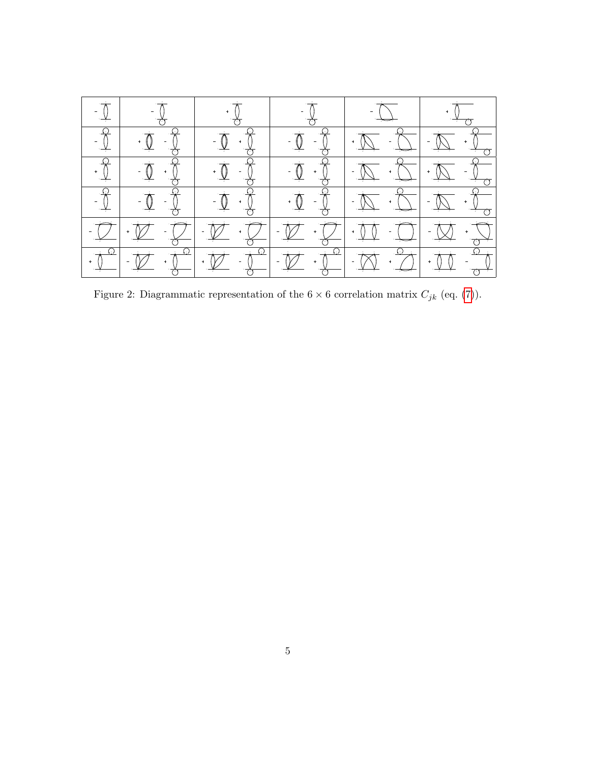<span id="page-5-0"></span>

|                                                                                                                           | $-\frac{1}{\sqrt{2}}$                                                                                                                                                                                                                                                                                                                                                                                                                                                                                                          |                                                                            |                                                                                    |                                                                                                                                                                                                                                                                                                                                                                                                                                             |  |
|---------------------------------------------------------------------------------------------------------------------------|--------------------------------------------------------------------------------------------------------------------------------------------------------------------------------------------------------------------------------------------------------------------------------------------------------------------------------------------------------------------------------------------------------------------------------------------------------------------------------------------------------------------------------|----------------------------------------------------------------------------|------------------------------------------------------------------------------------|---------------------------------------------------------------------------------------------------------------------------------------------------------------------------------------------------------------------------------------------------------------------------------------------------------------------------------------------------------------------------------------------------------------------------------------------|--|
| $\begin{array}{c}\n-\frac{1}{\sqrt{2}} \\ -\frac{1}{\sqrt{2}}\n\end{array}$                                               | $\frac{1}{\sqrt{1-\frac{1}{\sqrt{1}}}}$                                                                                                                                                                                                                                                                                                                                                                                                                                                                                        |                                                                            |                                                                                    |                                                                                                                                                                                                                                                                                                                                                                                                                                             |  |
|                                                                                                                           |                                                                                                                                                                                                                                                                                                                                                                                                                                                                                                                                |                                                                            |                                                                                    |                                                                                                                                                                                                                                                                                                                                                                                                                                             |  |
| $\begin{array}{c}\n\cdot & \cdot \\ \hline\n\cdot & \cdot \\ \hline\n\cdot & \cdot \\ \hline\n\cdot & \cdot\n\end{array}$ | $\frac{1}{\frac{1}{2} \cdot \frac{1}{2}}$                                                                                                                                                                                                                                                                                                                                                                                                                                                                                      |                                                                            |                                                                                    |                                                                                                                                                                                                                                                                                                                                                                                                                                             |  |
|                                                                                                                           | $\frac{1}{\sqrt{2}}\left[\frac{1}{\sqrt{2}}\cdot\frac{\sqrt{2}}{\sqrt{2}}\cdot\frac{\sqrt{2}}{\sqrt{2}}\right]$                                                                                                                                                                                                                                                                                                                                                                                                                | $\frac{1}{\frac{1}{\frac{1}{\sqrt{3}}}}\cdot\frac{1}{\frac{1}{\sqrt{3}}}}$ |                                                                                    | $\frac{1}{\frac{1}{\sqrt{2}}}\cdot\frac{1}{\frac{1}{\sqrt{2}}}\cdot\frac{1}{\frac{1}{\sqrt{2}}}\cdot\frac{1}{\frac{1}{\sqrt{2}}}\cdot\frac{1}{\frac{1}{\sqrt{2}}}\cdot\frac{1}{\frac{1}{\sqrt{2}}}\cdot\frac{1}{\frac{1}{\sqrt{2}}}\cdot\frac{1}{\frac{1}{\sqrt{2}}}\cdot\frac{1}{\frac{1}{\sqrt{2}}}\cdot\frac{1}{\frac{1}{\sqrt{2}}}\cdot\frac{1}{\frac{1}{\sqrt{2}}}\cdot\frac{1}{\frac{1}{\sqrt{2}}}\cdot\frac{1}{\frac{1}{\sqrt{2}}}\$ |  |
|                                                                                                                           | $\begin{array}{ c c c c c c c c } \hline \rule{0pt}{14pt} & \raisebox{0pt}{\text{\Large $\bullet$}} & \raisebox{0pt}{\text{\Large $\bullet$}} \\ \hline \rule{0pt}{2pt} & \raisebox{0pt}{\text{\Large $\bullet$}} & \raisebox{0pt}{\text{\Large $\bullet$}} \\ \hline \rule{0pt}{2pt} & \raisebox{0pt}{\text{\Large $\bullet$}} & \raisebox{0pt}{\text{\Large $\bullet$}} \\ \hline \rule{0pt}{2pt} & \raisebox{0pt}{\text{\Large $\bullet$}} & \raisebox{0pt}{\text{\Large $\bullet$}} \\ \hline \rule{0pt}{2pt} & \raisebox$ |                                                                            | $\begin{array}{ c c } \hline \cdot & \longleftarrow & \cdot \\ \hline \end{array}$ |                                                                                                                                                                                                                                                                                                                                                                                                                                             |  |

Figure 2: Diagrammatic representation of the  $6 \times 6$  correlation matrix  $C_{jk}$  (eq. [\(7\)](#page-3-6)).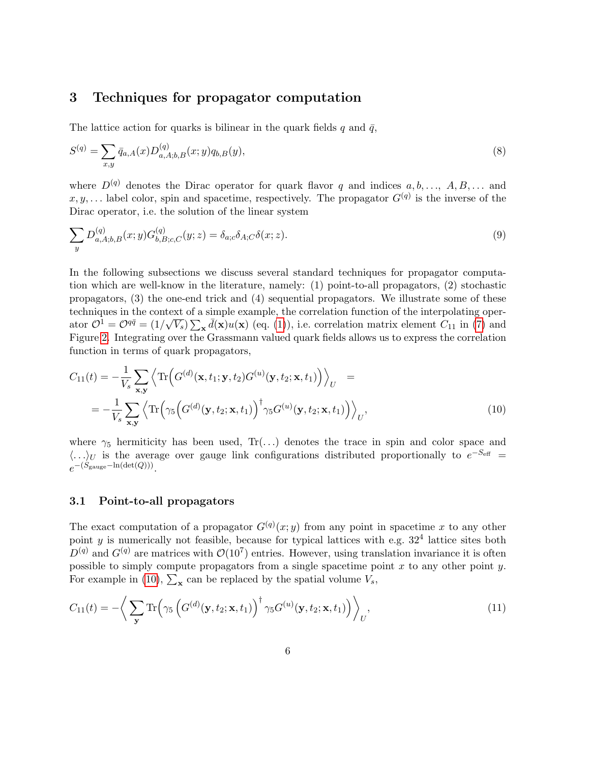### <span id="page-6-0"></span>3 Techniques for propagator computation

The lattice action for quarks is bilinear in the quark fields q and  $\bar{q}$ ,

$$
S^{(q)} = \sum_{x,y} \bar{q}_{a,A}(x) D_{a,A;b,B}^{(q)}(x;y) q_{b,B}(y),
$$
\n(8)

where  $D^{(q)}$  denotes the Dirac operator for quark flavor q and indices  $a, b, \ldots, A, B, \ldots$  and  $x, y, \ldots$  label color, spin and spacetime, respectively. The propagator  $G<sup>(q)</sup>$  is the inverse of the Dirac operator, i.e. the solution of the linear system

$$
\sum_{y} D_{a,A;b,B}^{(q)}(x;y) G_{b,B;c,C}^{(q)}(y;z) = \delta_{a;c} \delta_{A;C} \delta(x;z).
$$
\n(9)

In the following subsections we discuss several standard techniques for propagator computation which are well-know in the literature, namely: (1) point-to-all propagators, (2) stochastic propagators, (3) the one-end trick and (4) sequential propagators. We illustrate some of these techniques in the context of a simple example, the correlation function of the interpolating operator  $\mathcal{O}^1 = \mathcal{O}^{q\bar{q}} = (1/\sqrt{V_s}) \sum_{\mathbf{x}} d(\mathbf{x}) u(\mathbf{x})$  (eq. [\(1\)](#page-3-5)), i.e. correlation matrix element  $C_{11}$  in [\(7\)](#page-3-6) and Figure [2.](#page-5-0) Integrating over the Grassmann valued quark fields allows us to express the correlation function in terms of quark propagators,

<span id="page-6-1"></span>
$$
C_{11}(t) = -\frac{1}{V_s} \sum_{\mathbf{x}, \mathbf{y}} \left\langle \text{Tr}\left(G^{(d)}(\mathbf{x}, t_1; \mathbf{y}, t_2) G^{(u)}(\mathbf{y}, t_2; \mathbf{x}, t_1)\right) \right\rangle_U = -\frac{1}{V_s} \sum_{\mathbf{x}, \mathbf{y}} \left\langle \text{Tr}\left(\gamma_5 \left(G^{(d)}(\mathbf{y}, t_2; \mathbf{x}, t_1)\right)^\dagger \gamma_5 G^{(u)}(\mathbf{y}, t_2; \mathbf{x}, t_1)\right) \right\rangle_U,
$$
\n(10)

where  $\gamma_5$  hermiticity has been used, Tr(...) denotes the trace in spin and color space and  $\langle ... \rangle_U$  is the average over gauge link configurations distributed proportionally to  $e^{-S_{\text{eff}}}$  =  $e^{-(S_{\text{gauge}} - \ln(\det(Q)))}$ .

#### <span id="page-6-2"></span>3.1 Point-to-all propagators

The exact computation of a propagator  $G^{(q)}(x; y)$  from any point in spacetime x to any other point y is numerically not feasible, because for typical lattices with e.g.  $32<sup>4</sup>$  lattice sites both  $D^{(q)}$  and  $G^{(q)}$  are matrices with  $\mathcal{O}(10^7)$  entries. However, using translation invariance it is often possible to simply compute propagators from a single spacetime point  $x$  to any other point  $y$ . For example in [\(10\)](#page-6-1),  $\sum_{\mathbf{x}}$  can be replaced by the spatial volume  $V_s$ ,

$$
C_{11}(t) = -\left\langle \sum_{\mathbf{y}} \text{Tr}\left(\gamma_5 \left(G^{(d)}(\mathbf{y}, t_2; \mathbf{x}, t_1)\right)^{\dagger} \gamma_5 G^{(u)}(\mathbf{y}, t_2; \mathbf{x}, t_1)\right) \right\rangle_U, \tag{11}
$$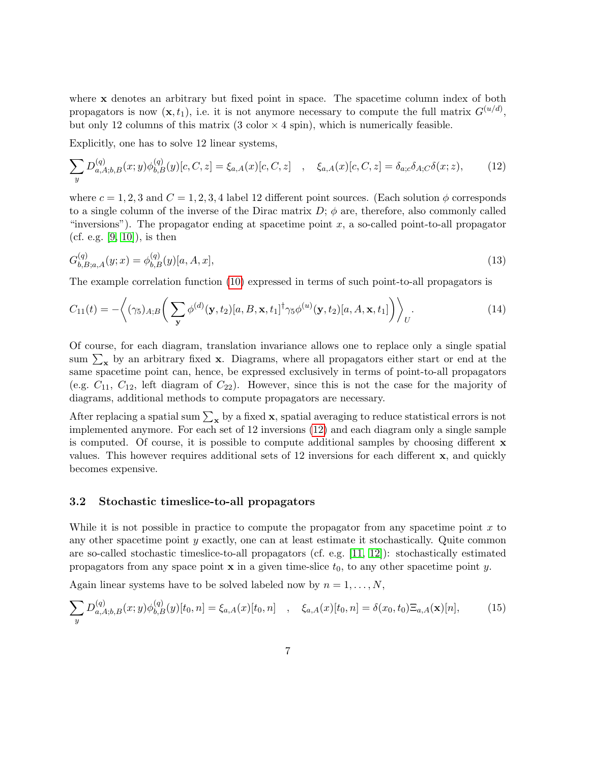where x denotes an arbitrary but fixed point in space. The spacetime column index of both propagators is now  $(\mathbf{x}, t_1)$ , i.e. it is not anymore necessary to compute the full matrix  $G^{(u/d)}$ , but only 12 columns of this matrix  $(3 \text{ color} \times 4 \text{ spin})$ , which is numerically feasible.

Explicitly, one has to solve 12 linear systems,

<span id="page-7-0"></span>
$$
\sum_{y} D_{a,A;b,B}^{(q)}(x;y)\phi_{b,B}^{(q)}(y)[c,C,z] = \xi_{a,A}(x)[c,C,z] \quad , \quad \xi_{a,A}(x)[c,C,z] = \delta_{a;c}\delta_{A;c}\delta(x;z), \tag{12}
$$

where  $c = 1, 2, 3$  and  $C = 1, 2, 3, 4$  label 12 different point sources. (Each solution  $\phi$  corresponds to a single column of the inverse of the Dirac matrix  $D$ ;  $\phi$  are, therefore, also commonly called "inversions"). The propagator ending at spacetime point  $x$ , a so-called point-to-all propagator (cf. e.g.  $[9, 10]$  $[9, 10]$ ), is then

$$
G_{b,B;a,A}^{(q)}(y;x) = \phi_{b,B}^{(q)}(y)[a,A,x],
$$
\n(13)

The example correlation function [\(10\)](#page-6-1) expressed in terms of such point-to-all propagators is

<span id="page-7-2"></span>
$$
C_{11}(t) = -\left\langle (\gamma_5)_{A;B} \left( \sum_{\mathbf{y}} \phi^{(d)}(\mathbf{y}, t_2) [a, B, \mathbf{x}, t_1]^{\dagger} \gamma_5 \phi^{(u)}(\mathbf{y}, t_2) [a, A, \mathbf{x}, t_1] \right) \right\rangle_U.
$$
 (14)

Of course, for each diagram, translation invariance allows one to replace only a single spatial sum  $\sum_{\mathbf{x}}$  by an arbitrary fixed  $\mathbf{x}$ . Diagrams, where all propagators either start or end at the same spacetime point can, hence, be expressed exclusively in terms of point-to-all propagators (e.g.  $C_{11}$ ,  $C_{12}$ , left diagram of  $C_{22}$ ). However, since this is not the case for the majority of diagrams, additional methods to compute propagators are necessary.

After replacing a spatial sum  $\sum_{\mathbf{x}}$  by a fixed  $\mathbf{x}$ , spatial averaging to reduce statistical errors is not implemented anymore. For each set of 12 inversions [\(12\)](#page-7-0) and each diagram only a single sample is computed. Of course, it is possible to compute additional samples by choosing different  $\bf{x}$ values. This however requires additional sets of 12 inversions for each different x, and quickly becomes expensive.

### <span id="page-7-3"></span>3.2 Stochastic timeslice-to-all propagators

While it is not possible in practice to compute the propagator from any spacetime point  $x$  to any other spacetime point y exactly, one can at least estimate it stochastically. Quite common are so-called stochastic timeslice-to-all propagators (cf. e.g. [\[11,](#page-44-10) [12\]](#page-44-11)): stochastically estimated propagators from any space point  $x$  in a given time-slice  $t_0$ , to any other spacetime point y.

Again linear systems have to be solved labeled now by  $n = 1, \ldots, N$ ,

<span id="page-7-1"></span>
$$
\sum_{y} D_{a,A;b,B}^{(q)}(x;y)\phi_{b,B}^{(q)}(y)[t_0,n] = \xi_{a,A}(x)[t_0,n] \quad , \quad \xi_{a,A}(x)[t_0,n] = \delta(x_0,t_0)\Xi_{a,A}(\mathbf{x})[n],\tag{15}
$$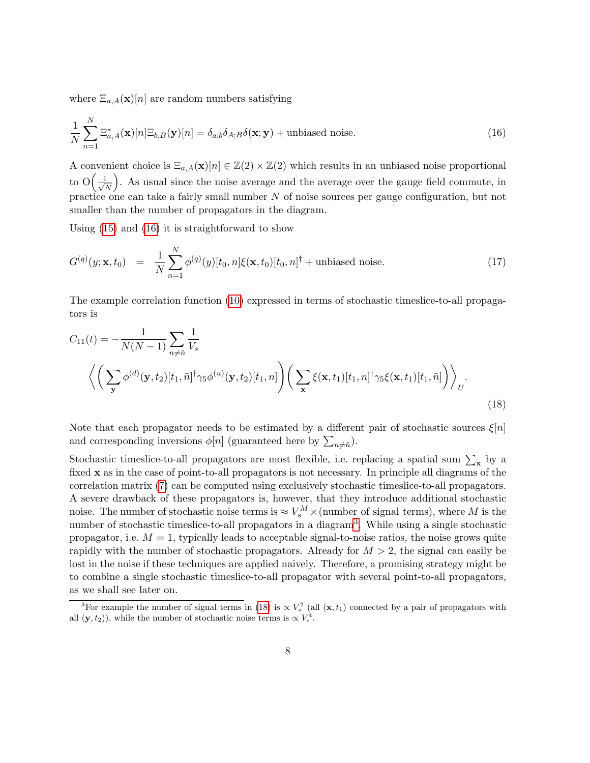where  $\Xi_{a,A}(\mathbf{x})[n]$  are random numbers satisfying

<span id="page-8-0"></span>
$$
\frac{1}{N} \sum_{n=1}^{N} \Xi_{a,A}^{*}(\mathbf{x})[n] \Xi_{b,B}(\mathbf{y})[n] = \delta_{a,b} \delta_{A,B} \delta(\mathbf{x}; \mathbf{y}) + \text{unbiased noise.}
$$
\n(16)

A convenient choice is  $\Xi_{a,A}(\mathbf{x})[n] \in \mathbb{Z}(2) \times \mathbb{Z}(2)$  which results in an unbiased noise proportional to  $O\left(\frac{1}{\sqrt{2}}\right)$ N . As usual since the noise average and the average over the gauge field commute, in practice one can take a fairly small number N of noise sources per gauge configuration, but not smaller than the number of propagators in the diagram.

Using [\(15\)](#page-7-1) and [\(16\)](#page-8-0) it is straightforward to show

$$
G^{(q)}(y; \mathbf{x}, t_0) = \frac{1}{N} \sum_{n=1}^{N} \phi^{(q)}(y) [t_0, n] \xi(\mathbf{x}, t_0) [t_0, n]^{\dagger} + \text{unbiased noise.}
$$
 (17)

The example correlation function [\(10\)](#page-6-1) expressed in terms of stochastic timeslice-to-all propagators is

$$
C_{11}(t) = -\frac{1}{N(N-1)} \sum_{n \neq \tilde{n}} \frac{1}{V_s}
$$

$$
\left\langle \left( \sum_{\mathbf{y}} \phi^{(d)}(\mathbf{y}, t_2) [t_1, \tilde{n}]^\dagger \gamma_5 \phi^{(u)}(\mathbf{y}, t_2) [t_1, n] \right) \left( \sum_{\mathbf{x}} \xi(\mathbf{x}, t_1) [t_1, n]^\dagger \gamma_5 \xi(\mathbf{x}, t_1) [t_1, \tilde{n}] \right) \right\rangle_U.
$$
(18)

<span id="page-8-2"></span>Note that each propagator needs to be estimated by a different pair of stochastic sources  $\xi[n]$ and corresponding inversions  $\phi[n]$  (guaranteed here by  $\sum_{n \neq \tilde{n}}$ ).

Stochastic timeslice-to-all propagators are most flexible, i.e. replacing a spatial sum  $\sum_{\mathbf{x}}$  by a fixed x as in the case of point-to-all propagators is not necessary. In principle all diagrams of the correlation matrix [\(7\)](#page-3-6) can be computed using exclusively stochastic timeslice-to-all propagators. A severe drawback of these propagators is, however, that they introduce additional stochastic noise. The number of stochastic noise terms is  $\approx V_s^M \times$  (number of signal terms), where M is the number of stochastic timeslice-to-all propagators in a diagram<sup>[3](#page-8-1)</sup>. While using a single stochastic propagator, i.e.  $M = 1$ , typically leads to acceptable signal-to-noise ratios, the noise grows quite rapidly with the number of stochastic propagators. Already for  $M > 2$ , the signal can easily be lost in the noise if these techniques are applied naively. Therefore, a promising strategy might be to combine a single stochastic timeslice-to-all propagator with several point-to-all propagators, as we shall see later on.

<span id="page-8-1"></span><sup>&</sup>lt;sup>3</sup>For example the number of signal terms in [\(18\)](#page-8-2) is  $\propto V_s^2$  (all  $(\mathbf{x}, t_1)$  connected by a pair of propagators with all  $(y, t_2)$ , while the number of stochastic noise terms is  $\propto V_s^4$ .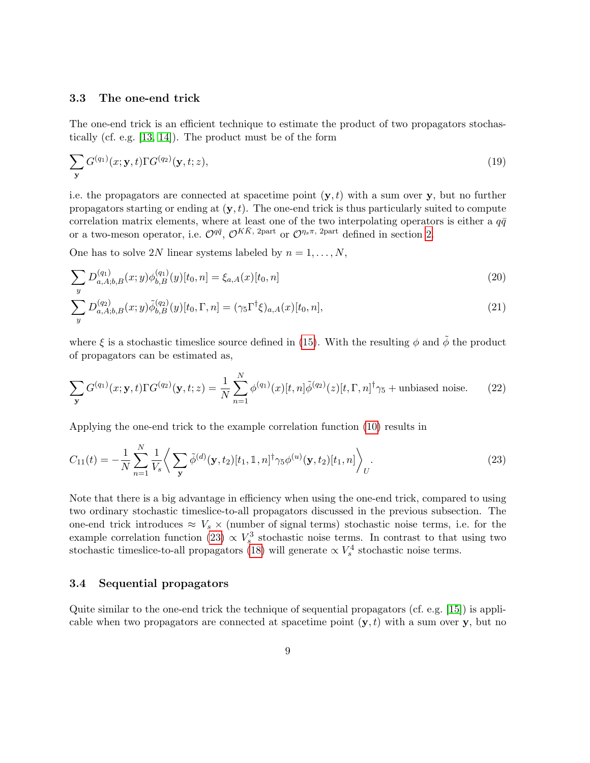#### <span id="page-9-3"></span>3.3 The one-end trick

<span id="page-9-4"></span> $\overline{y}$ 

The one-end trick is an efficient technique to estimate the product of two propagators stochastically (cf. e.g. [\[13,](#page-44-12) [14\]](#page-45-0)). The product must be of the form

<span id="page-9-1"></span>
$$
\sum_{\mathbf{y}} G^{(q_1)}(x; \mathbf{y}, t) \Gamma G^{(q_2)}(\mathbf{y}, t; z), \tag{19}
$$

i.e. the propagators are connected at spacetime point  $(y, t)$  with a sum over y, but no further propagators starting or ending at  $(y, t)$ . The one-end trick is thus particularly suited to compute correlation matrix elements, where at least one of the two interpolating operators is either a  $q\bar{q}$ or a two-meson operator, i.e.  $\mathcal{O}^{q\bar{q}}$ ,  $\mathcal{O}^{K\bar{K}$ , 2part or  $\mathcal{O}^{\eta_s\pi}$ , 2part defined in section [2.](#page-3-0)

One has to solve 2N linear systems labeled by  $n = 1, ..., N$ ,

$$
\sum_{y} D_{a,A;b,B}^{(q_1)}(x;y)\phi_{b,B}^{(q_1)}(y)[t_0,n] = \xi_{a,A}(x)[t_0,n]
$$
\n
$$
\sum D_{a,A;b,B}^{(q_2)}(x;y)\tilde{\phi}_{b,B}^{(q_2)}(y)[t_0,\Gamma,n] = (\gamma_5\Gamma^{\dagger}\xi)_{a,A}(x)[t_0,n],
$$
\n(21)

where  $\xi$  is a stochastic timeslice source defined in [\(15\)](#page-7-1). With the resulting  $\phi$  and  $\tilde{\phi}$  the product of propagators can be estimated as,

$$
\sum_{\mathbf{y}} G^{(q_1)}(x; \mathbf{y}, t) \Gamma G^{(q_2)}(\mathbf{y}, t; z) = \frac{1}{N} \sum_{n=1}^{N} \phi^{(q_1)}(x) [t, n] \tilde{\phi}^{(q_2)}(z) [t, \Gamma, n]^{\dagger} \gamma_5 + \text{unbiased noise.} \tag{22}
$$

Applying the one-end trick to the example correlation function [\(10\)](#page-6-1) results in

<span id="page-9-0"></span>
$$
C_{11}(t) = -\frac{1}{N} \sum_{n=1}^{N} \frac{1}{V_s} \left\langle \sum_{\mathbf{y}} \tilde{\phi}^{(d)}(\mathbf{y}, t_2) [t_1, \mathbb{1}, n]^\dagger \gamma_5 \phi^{(u)}(\mathbf{y}, t_2) [t_1, n] \right\rangle_U.
$$
 (23)

Note that there is a big advantage in efficiency when using the one-end trick, compared to using two ordinary stochastic timeslice-to-all propagators discussed in the previous subsection. The one-end trick introduces  $\approx V_s \times$  (number of signal terms) stochastic noise terms, i.e. for the example correlation function [\(23\)](#page-9-0)  $\propto V_s^3$  stochastic noise terms. In contrast to that using two stochastic timeslice-to-all propagators [\(18\)](#page-8-2) will generate  $\propto V_s^4$  stochastic noise terms.

### <span id="page-9-2"></span>3.4 Sequential propagators

Quite similar to the one-end trick the technique of sequential propagators (cf. e.g. [\[15\]](#page-45-1)) is applicable when two propagators are connected at spacetime point  $(y, t)$  with a sum over y, but no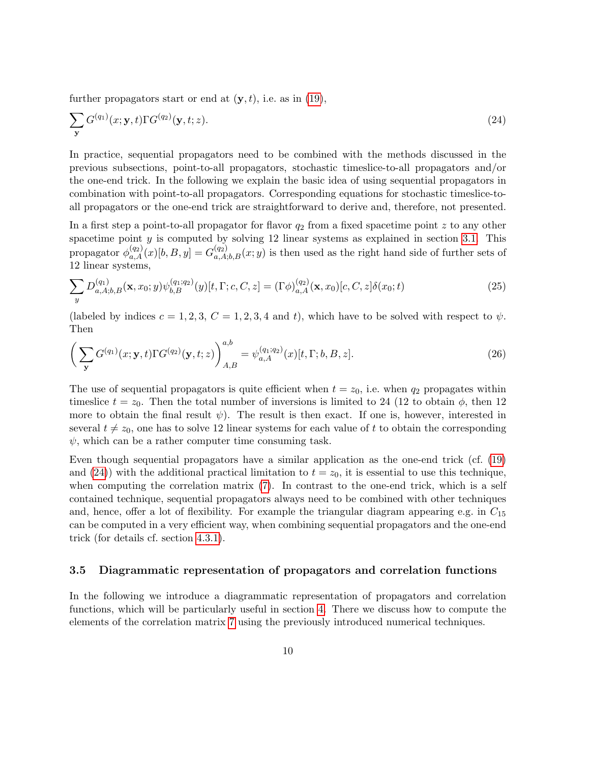further propagators start or end at  $(y, t)$ , i.e. as in [\(19\)](#page-9-1),

<span id="page-10-0"></span>
$$
\sum_{\mathbf{y}} G^{(q_1)}(x; \mathbf{y}, t) \Gamma G^{(q_2)}(\mathbf{y}, t; z). \tag{24}
$$

In practice, sequential propagators need to be combined with the methods discussed in the previous subsections, point-to-all propagators, stochastic timeslice-to-all propagators and/or the one-end trick. In the following we explain the basic idea of using sequential propagators in combination with point-to-all propagators. Corresponding equations for stochastic timeslice-toall propagators or the one-end trick are straightforward to derive and, therefore, not presented.

In a first step a point-to-all propagator for flavor  $q_2$  from a fixed spacetime point z to any other spacetime point  $y$  is computed by solving 12 linear systems as explained in section [3.1.](#page-6-2) This propagator  $\phi_{a,A}^{(q_2)}(x)[b,B,y] = G_{a,A;b,B}^{(q_2)}(x;y)$  is then used as the right hand side of further sets of 12 linear systems,

<span id="page-10-2"></span>
$$
\sum_{y} D_{a,A;b,B}^{(q_1)}(\mathbf{x}, x_0; y) \psi_{b,B}^{(q_1; q_2)}(y)[t, \Gamma; c, C, z] = (\Gamma \phi)_{a,A}^{(q_2)}(\mathbf{x}, x_0)[c, C, z] \delta(x_0; t)
$$
\n(25)

(labeled by indices  $c = 1, 2, 3, C = 1, 2, 3, 4$  and t), which have to be solved with respect to  $\psi$ . Then

<span id="page-10-1"></span>
$$
\left(\sum_{\mathbf{y}} G^{(q_1)}(x; \mathbf{y}, t) \Gamma G^{(q_2)}(\mathbf{y}, t; z)\right)_{A, B}^{a, b} = \psi_{a, A}^{(q_1; q_2)}(x)[t, \Gamma; b, B, z].
$$
\n(26)

The use of sequential propagators is quite efficient when  $t = z_0$ , i.e. when  $q_2$  propagates within timeslice  $t = z_0$ . Then the total number of inversions is limited to 24 (12 to obtain  $\phi$ , then 12 more to obtain the final result  $\psi$ ). The result is then exact. If one is, however, interested in several  $t \neq z_0$ , one has to solve 12 linear systems for each value of t to obtain the corresponding  $\psi$ , which can be a rather computer time consuming task.

Even though sequential propagators have a similar application as the one-end trick (cf. [\(19\)](#page-9-1) and [\(24\)](#page-10-0)) with the additional practical limitation to  $t = z<sub>0</sub>$ , it is essential to use this technique, when computing the correlation matrix [\(7\)](#page-3-6). In contrast to the one-end trick, which is a self contained technique, sequential propagators always need to be combined with other techniques and, hence, offer a lot of flexibility. For example the triangular diagram appearing e.g. in  $C_{15}$ can be computed in a very efficient way, when combining sequential propagators and the one-end trick (for details cf. section [4.3.1\)](#page-16-0).

#### 3.5 Diagrammatic representation of propagators and correlation functions

In the following we introduce a diagrammatic representation of propagators and correlation functions, which will be particularly useful in section [4.](#page-12-0) There we discuss how to compute the elements of the correlation matrix [7](#page-3-6) using the previously introduced numerical techniques.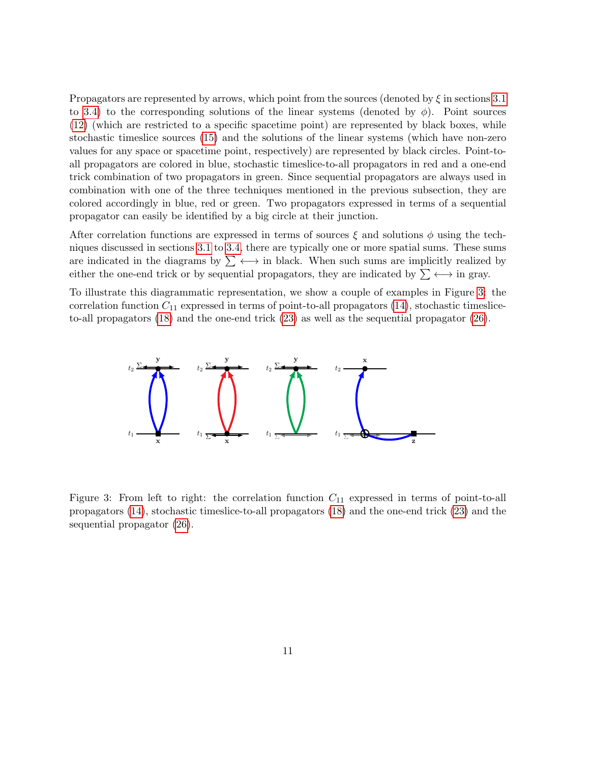Propagators are represented by arrows, which point from the sources (denoted by  $\xi$  in sections [3.1](#page-6-2) to [3.4\)](#page-9-2) to the corresponding solutions of the linear systems (denoted by  $\phi$ ). Point sources [\(12\)](#page-7-0) (which are restricted to a specific spacetime point) are represented by black boxes, while stochastic timeslice sources [\(15\)](#page-7-1) and the solutions of the linear systems (which have non-zero values for any space or spacetime point, respectively) are represented by black circles. Point-toall propagators are colored in blue, stochastic timeslice-to-all propagators in red and a one-end trick combination of two propagators in green. Since sequential propagators are always used in combination with one of the three techniques mentioned in the previous subsection, they are colored accordingly in blue, red or green. Two propagators expressed in terms of a sequential propagator can easily be identified by a big circle at their junction.

After correlation functions are expressed in terms of sources  $\xi$  and solutions  $\phi$  using the techniques discussed in sections [3.1](#page-6-2) to [3.4,](#page-9-2) there are typically one or more spatial sums. These sums are indicated in the diagrams by  $\sum \longleftrightarrow$  in black. When such sums are implicitly realized by either the one-end trick or by sequential propagators, they are indicated by  $\sum \longleftrightarrow$  in gray.

<span id="page-11-0"></span>To illustrate this diagrammatic representation, we show a couple of examples in Figure [3:](#page-11-0) the correlation function  $C_{11}$  expressed in terms of point-to-all propagators  $(14)$ , stochastic timesliceto-all propagators [\(18\)](#page-8-2) and the one-end trick [\(23\)](#page-9-0) as well as the sequential propagator [\(26\)](#page-10-1).



Figure 3: From left to right: the correlation function  $C_{11}$  expressed in terms of point-to-all propagators [\(14\)](#page-7-2), stochastic timeslice-to-all propagators [\(18\)](#page-8-2) and the one-end trick [\(23\)](#page-9-0) and the sequential propagator [\(26\)](#page-10-1).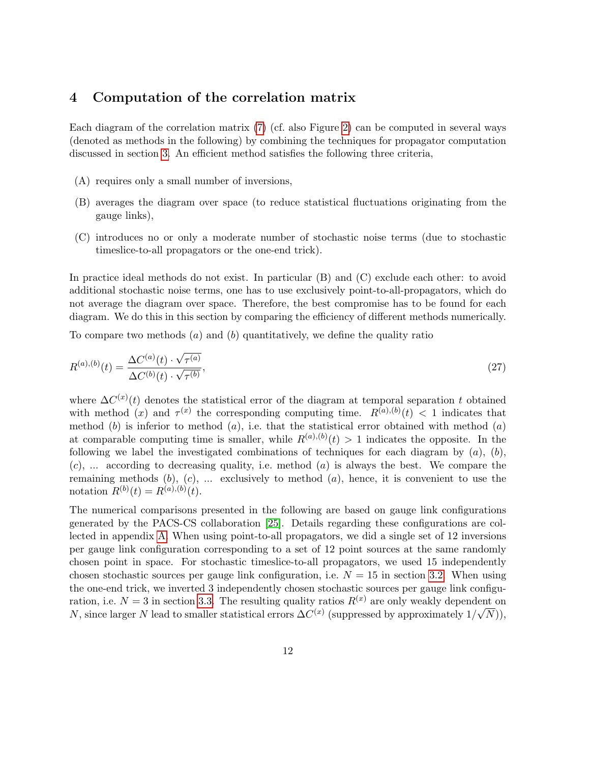## <span id="page-12-0"></span>4 Computation of the correlation matrix

Each diagram of the correlation matrix [\(7\)](#page-3-6) (cf. also Figure [2\)](#page-5-0) can be computed in several ways (denoted as methods in the following) by combining the techniques for propagator computation discussed in section [3.](#page-6-0) An efficient method satisfies the following three criteria,

- (A) requires only a small number of inversions,
- (B) averages the diagram over space (to reduce statistical fluctuations originating from the gauge links),
- (C) introduces no or only a moderate number of stochastic noise terms (due to stochastic timeslice-to-all propagators or the one-end trick).

In practice ideal methods do not exist. In particular (B) and (C) exclude each other: to avoid additional stochastic noise terms, one has to use exclusively point-to-all-propagators, which do not average the diagram over space. Therefore, the best compromise has to be found for each diagram. We do this in this section by comparing the efficiency of different methods numerically.

To compare two methods  $(a)$  and  $(b)$  quantitatively, we define the quality ratio

<span id="page-12-1"></span>
$$
R^{(a),(b)}(t) = \frac{\Delta C^{(a)}(t) \cdot \sqrt{\tau^{(a)}}}{\Delta C^{(b)}(t) \cdot \sqrt{\tau^{(b)}}},\tag{27}
$$

where  $\Delta C^{(x)}(t)$  denotes the statistical error of the diagram at temporal separation t obtained with method (x) and  $\tau^{(x)}$  the corresponding computing time.  $R^{(a),(b)}(t) < 1$  indicates that method  $(b)$  is inferior to method  $(a)$ , i.e. that the statistical error obtained with method  $(a)$ at comparable computing time is smaller, while  $R^{(a),(b)}(t) > 1$  indicates the opposite. In the following we label the investigated combinations of techniques for each diagram by  $(a)$ ,  $(b)$ ,  $(c)$ , ... according to decreasing quality, i.e. method  $(a)$  is always the best. We compare the remaining methods  $(b)$ ,  $(c)$ , ... exclusively to method  $(a)$ , hence, it is convenient to use the notation  $R^{(b)}(t) = R^{(a),(b)}(t)$ .

The numerical comparisons presented in the following are based on gauge link configurations generated by the PACS-CS collaboration [\[25\]](#page-45-11). Details regarding these configurations are collected in appendix [A.](#page-40-0) When using point-to-all propagators, we did a single set of 12 inversions per gauge link configuration corresponding to a set of 12 point sources at the same randomly chosen point in space. For stochastic timeslice-to-all propagators, we used 15 independently chosen stochastic sources per gauge link configuration, i.e.  $N = 15$  in section [3.2.](#page-7-3) When using the one-end trick, we inverted 3 independently chosen stochastic sources per gauge link configuration, i.e.  $N = 3$  in section [3.3.](#page-9-3) The resulting quality ratios  $R^{(x)}$  are only weakly dependent on N, since larger N lead to smaller statistical errors  $\Delta C^{(x)}$  (suppressed by approximately  $1/\sqrt{N}$ )),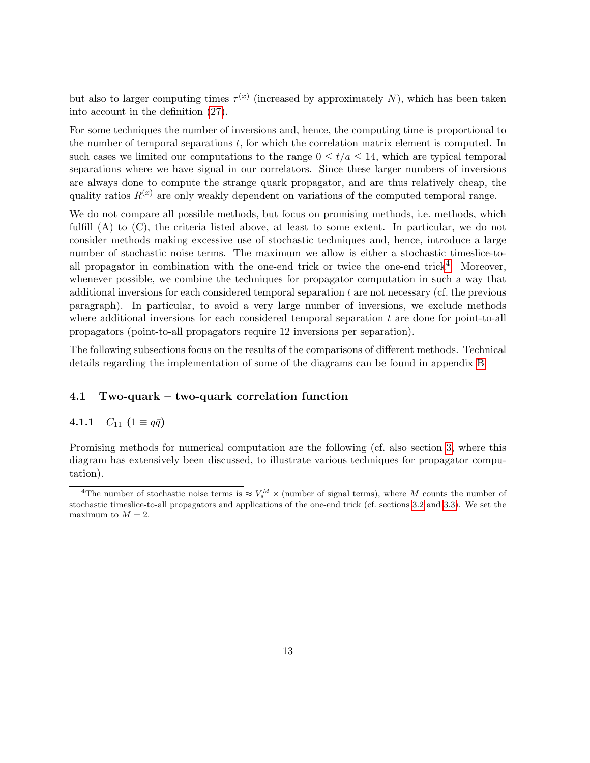but also to larger computing times  $\tau^{(x)}$  (increased by approximately N), which has been taken into account in the definition [\(27\)](#page-12-1).

For some techniques the number of inversions and, hence, the computing time is proportional to the number of temporal separations t, for which the correlation matrix element is computed. In such cases we limited our computations to the range  $0 \le t/a \le 14$ , which are typical temporal separations where we have signal in our correlators. Since these larger numbers of inversions are always done to compute the strange quark propagator, and are thus relatively cheap, the quality ratios  $R^{(x)}$  are only weakly dependent on variations of the computed temporal range.

We do not compare all possible methods, but focus on promising methods, i.e. methods, which fulfill (A) to (C), the criteria listed above, at least to some extent. In particular, we do not consider methods making excessive use of stochastic techniques and, hence, introduce a large number of stochastic noise terms. The maximum we allow is either a stochastic timeslice-to-all propagator in combination with the one-end trick or twice the one-end trick<sup>[4](#page-13-0)</sup>. Moreover, whenever possible, we combine the techniques for propagator computation in such a way that additional inversions for each considered temporal separation  $t$  are not necessary (cf. the previous paragraph). In particular, to avoid a very large number of inversions, we exclude methods where additional inversions for each considered temporal separation  $t$  are done for point-to-all propagators (point-to-all propagators require 12 inversions per separation).

The following subsections focus on the results of the comparisons of different methods. Technical details regarding the implementation of some of the diagrams can be found in appendix [B.](#page-41-0)

### 4.1 Two-quark – two-quark correlation function

### <span id="page-13-1"></span>4.1.1  $C_{11}$   $(1 \equiv q\bar{q})$

Promising methods for numerical computation are the following (cf. also section [3,](#page-6-0) where this diagram has extensively been discussed, to illustrate various techniques for propagator computation).

<span id="page-13-0"></span><sup>&</sup>lt;sup>4</sup>The number of stochastic noise terms is  $\approx V_s^M \times$  (number of signal terms), where M counts the number of stochastic timeslice-to-all propagators and applications of the one-end trick (cf. sections [3.2](#page-7-3) and [3.3\)](#page-9-3). We set the maximum to  $M = 2$ .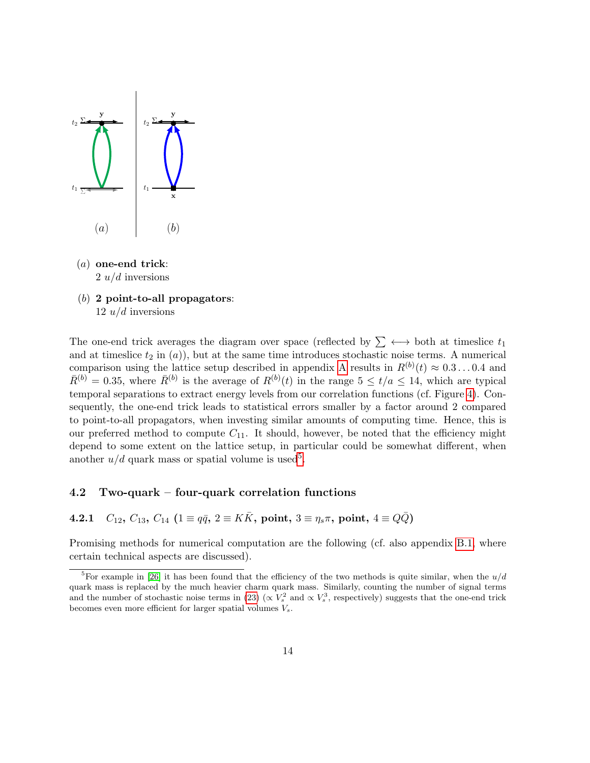

- (a) one-end trick:  $2 u/d$  inversions
- $(b)$  2 point-to-all propagators: 12  $u/d$  inversions

The one-end trick averages the diagram over space (reflected by  $\sum \leftrightarrow$  both at timeslice  $t_1$ and at timeslice  $t_2$  in  $(a)$ ), but at the same time introduces stochastic noise terms. A numerical comparison using the lattice setup described in appendix [A](#page-40-0) results in  $R^{(b)}(t) \approx 0.3...0.4$  and  $\bar{R}^{(b)} = 0.35$ , where  $\bar{R}^{(b)}$  is the average of  $R^{(b)}(t)$  in the range  $5 \le t/a \le 14$ , which are typical temporal separations to extract energy levels from our correlation functions (cf. Figure [4\)](#page-15-0). Consequently, the one-end trick leads to statistical errors smaller by a factor around 2 compared to point-to-all propagators, when investing similar amounts of computing time. Hence, this is our preferred method to compute  $C_{11}$ . It should, however, be noted that the efficiency might depend to some extent on the lattice setup, in particular could be somewhat different, when another  $u/d$  quark mass or spatial volume is used<sup>[5](#page-14-0)</sup>.

### 4.2 Two-quark – four-quark correlation functions

<span id="page-14-1"></span>4.2.1  $C_{12}$ ,  $C_{13}$ ,  $C_{14}$   $(1 \equiv q\bar{q}$ ,  $2 \equiv K\bar{K}$ , point,  $3 \equiv \eta_s \pi$ , point,  $4 \equiv Q\bar{Q}$ )

Promising methods for numerical computation are the following (cf. also appendix [B.1,](#page-41-1) where certain technical aspects are discussed).

<span id="page-14-0"></span><sup>&</sup>lt;sup>5</sup>For example in [\[26\]](#page-45-12) it has been found that the efficiency of the two methods is quite similar, when the  $u/d$ quark mass is replaced by the much heavier charm quark mass. Similarly, counting the number of signal terms and the number of stochastic noise terms in [\(23\)](#page-9-0) ( $\propto V_s^2$  and  $\propto V_s^3$ , respectively) suggests that the one-end trick becomes even more efficient for larger spatial volumes  $V_s$ .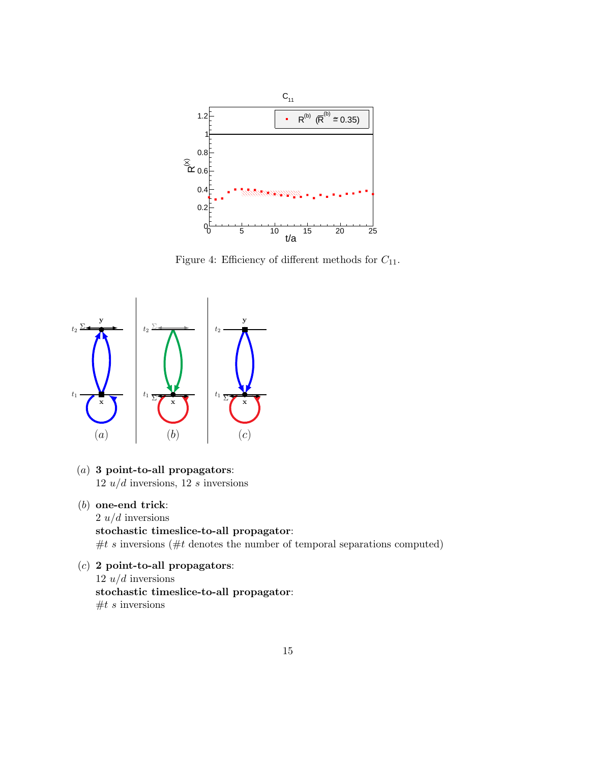<span id="page-15-0"></span>

Figure 4: Efficiency of different methods for  $C_{11}$ .



- (a) 3 point-to-all propagators:  $12 u/d$  inversions,  $12 s$  inversions
- (b) one-end trick:

 $2 u/d$  inversions stochastic timeslice-to-all propagator:  $#t s$  inversions ( $#t$  denotes the number of temporal separations computed)

 $(c)$  2 point-to-all propagators: 12  $u/d$  inversions stochastic timeslice-to-all propagator:  $#t s$  inversions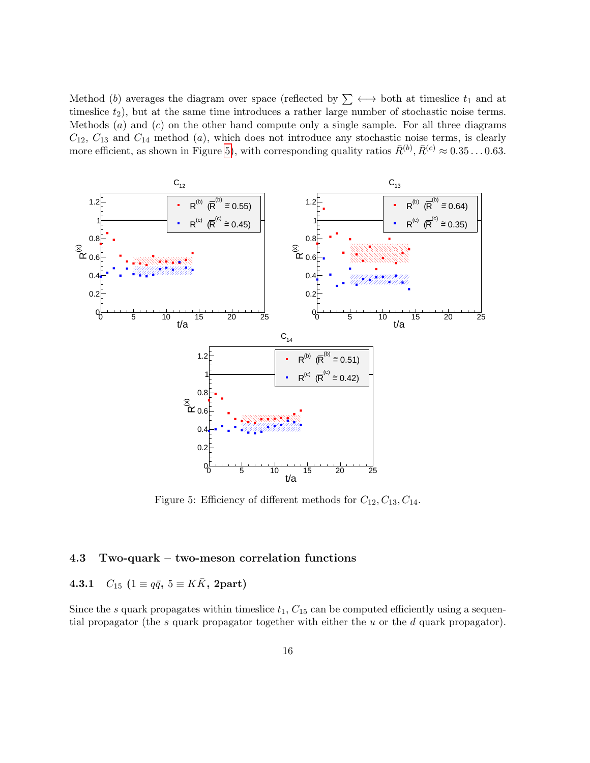Method (b) averages the diagram over space (reflected by  $\sum \longleftrightarrow$  both at timeslice  $t_1$  and at timeslice  $t_2$ ), but at the same time introduces a rather large number of stochastic noise terms. Methods  $(a)$  and  $(c)$  on the other hand compute only a single sample. For all three diagrams  $C_{12}$ ,  $C_{13}$  and  $C_{14}$  method (a), which does not introduce any stochastic noise terms, is clearly more efficient, as shown in Figure [5\)](#page-16-1), with corresponding quality ratios  $\bar{R}^{(b)}$ ,  $\bar{R}^{(c)} \approx 0.35...0.63$ .

<span id="page-16-1"></span>

Figure 5: Efficiency of different methods for  $C_{12}$ ,  $C_{13}$ ,  $C_{14}$ .

### 4.3 Two-quark – two-meson correlation functions

## <span id="page-16-0"></span>4.3.1  $C_{15}$   $(1 \equiv q\bar{q}, 5 \equiv K\bar{K}, 2$ part)

Since the s quark propagates within timeslice  $t_1$ ,  $C_{15}$  can be computed efficiently using a sequential propagator (the s quark propagator together with either the  $u$  or the  $d$  quark propagator).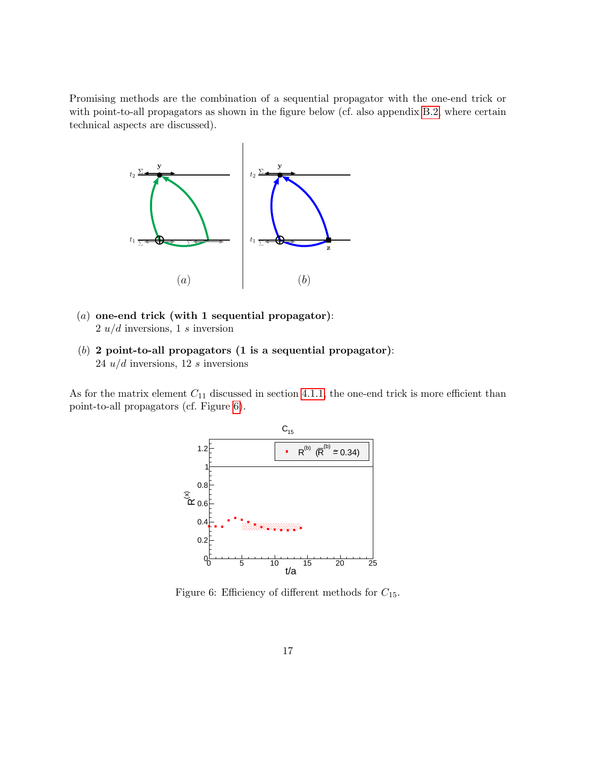Promising methods are the combination of a sequential propagator with the one-end trick or with point-to-all propagators as shown in the figure below (cf. also appendix [B.2,](#page-42-0) where certain technical aspects are discussed).



- (a) one-end trick (with 1 sequential propagator):  $2 u/d$  inversions, 1 s inversion
- (b) 2 point-to-all propagators (1 is a sequential propagator): 24  $u/d$  inversions, 12 s inversions

<span id="page-17-0"></span>As for the matrix element  $C_{11}$  discussed in section [4.1.1,](#page-13-1) the one-end trick is more efficient than point-to-all propagators (cf. Figure [6\)](#page-17-0).



Figure 6: Efficiency of different methods for  $C_{15}$ .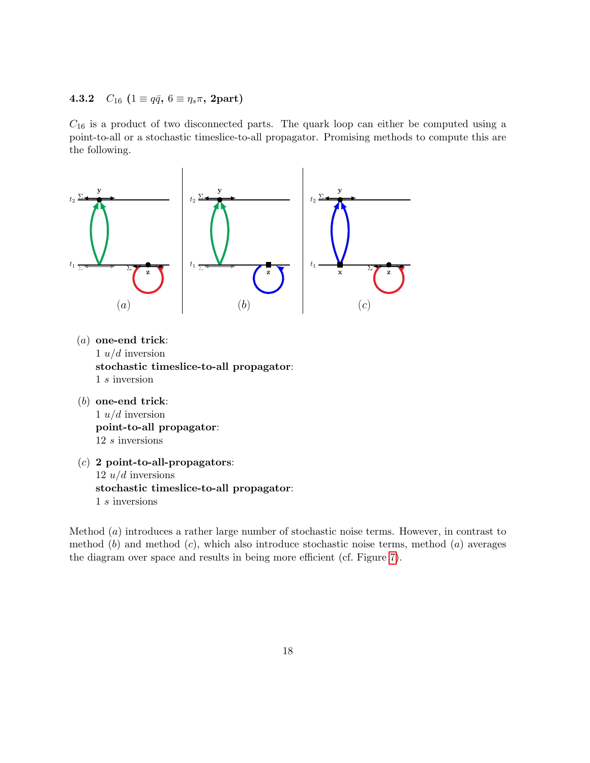## <span id="page-18-0"></span>4.3.2  $C_{16}$  ( $1 \equiv q\bar{q}$ ,  $6 \equiv \eta_s \pi$ , 2part)

 $C_{16}$  is a product of two disconnected parts. The quark loop can either be computed using a point-to-all or a stochastic timeslice-to-all propagator. Promising methods to compute this are the following.



- (a) one-end trick: 1  $u/d$  inversion stochastic timeslice-to-all propagator: 1 s inversion
- (b) one-end trick: 1  $u/d$  inversion point-to-all propagator: 12 s inversions
- $(c)$  2 point-to-all-propagators:  $12 u/d$  inversions stochastic timeslice-to-all propagator: 1 s inversions

Method (a) introduces a rather large number of stochastic noise terms. However, in contrast to method  $(b)$  and method  $(c)$ , which also introduce stochastic noise terms, method  $(a)$  averages the diagram over space and results in being more efficient (cf. Figure [7\)](#page-19-0).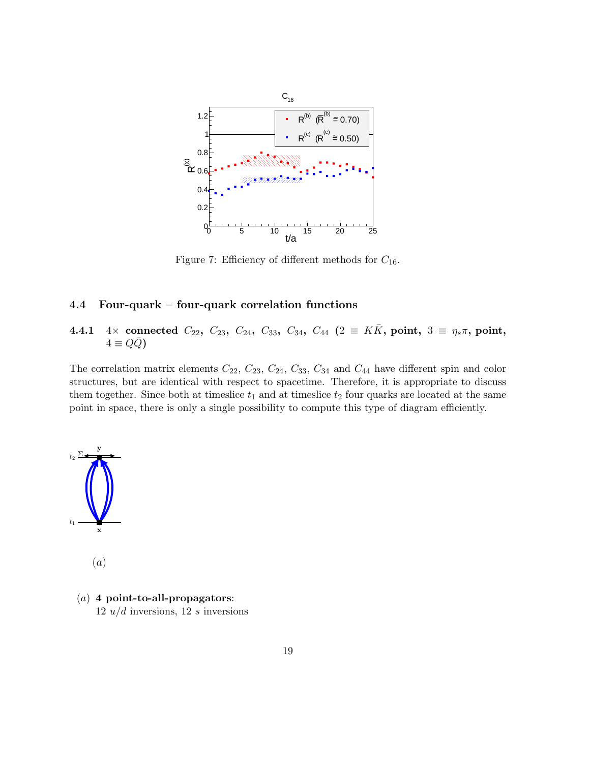<span id="page-19-0"></span>

Figure 7: Efficiency of different methods for  $C_{16}$ .

### 4.4 Four-quark – four-quark correlation functions

# 4.4.1 4× connected  $C_{22}$ ,  $C_{23}$ ,  $C_{24}$ ,  $C_{33}$ ,  $C_{34}$ ,  $C_{44}$  (2  $\equiv K\bar{K}$ , point, 3  $\equiv \eta_s \pi$ , point,  $4 \equiv QQ$

The correlation matrix elements  $C_{22}$ ,  $C_{23}$ ,  $C_{24}$ ,  $C_{33}$ ,  $C_{34}$  and  $C_{44}$  have different spin and color structures, but are identical with respect to spacetime. Therefore, it is appropriate to discuss them together. Since both at timeslice  $t_1$  and at timeslice  $t_2$  four quarks are located at the same point in space, there is only a single possibility to compute this type of diagram efficiently.



(a)

 $(a)$  4 point-to-all-propagators: 12  $u/d$  inversions, 12 s inversions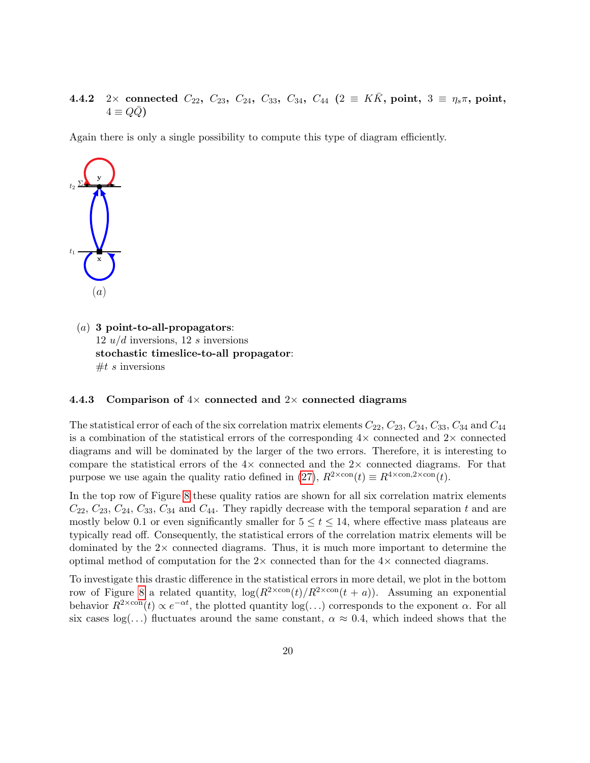4.4.2 2× connected  $C_{22}$ ,  $C_{23}$ ,  $C_{24}$ ,  $C_{33}$ ,  $C_{34}$ ,  $C_{44}$  (2  $\equiv K\bar{K}$ , point, 3  $\equiv \eta_s \pi$ , point,  $4 \equiv Q\bar{Q}$ 

Again there is only a single possibility to compute this type of diagram efficiently.



 $(a)$  3 point-to-all-propagators:  $12 u/d$  inversions,  $12 s$  inversions stochastic timeslice-to-all propagator:  $#t s$  inversions

#### <span id="page-20-0"></span>4.4.3 Comparison of  $4\times$  connected and  $2\times$  connected diagrams

The statistical error of each of the six correlation matrix elements  $C_{22}$ ,  $C_{23}$ ,  $C_{24}$ ,  $C_{33}$ ,  $C_{34}$  and  $C_{44}$ is a combination of the statistical errors of the corresponding  $4\times$  connected and  $2\times$  connected diagrams and will be dominated by the larger of the two errors. Therefore, it is interesting to compare the statistical errors of the  $4\times$  connected and the  $2\times$  connected diagrams. For that purpose we use again the quality ratio defined in [\(27\)](#page-12-1),  $R^{2\times \text{con}}(t) \equiv R^{4\times \text{con},2\times \text{con}}(t)$ .

In the top row of Figure [8](#page-21-0) these quality ratios are shown for all six correlation matrix elements  $C_{22}, C_{23}, C_{24}, C_{33}, C_{34}$  and  $C_{44}$ . They rapidly decrease with the temporal separation t and are mostly below 0.1 or even significantly smaller for  $5 \le t \le 14$ , where effective mass plateaus are typically read off. Consequently, the statistical errors of the correlation matrix elements will be dominated by the  $2\times$  connected diagrams. Thus, it is much more important to determine the optimal method of computation for the  $2\times$  connected than for the  $4\times$  connected diagrams.

To investigate this drastic difference in the statistical errors in more detail, we plot in the bottom row of Figure [8](#page-21-0) a related quantity,  $\log(R^{2\times \text{con}}(t)/R^{2\times \text{con}}(t + a))$ . Assuming an exponential behavior  $R^{2\times \text{con}}(t) \propto e^{-\alpha t}$ , the plotted quantity  $\log(\ldots)$  corresponds to the exponent  $\alpha$ . For all six cases  $log(...)$  fluctuates around the same constant,  $\alpha \approx 0.4$ , which indeed shows that the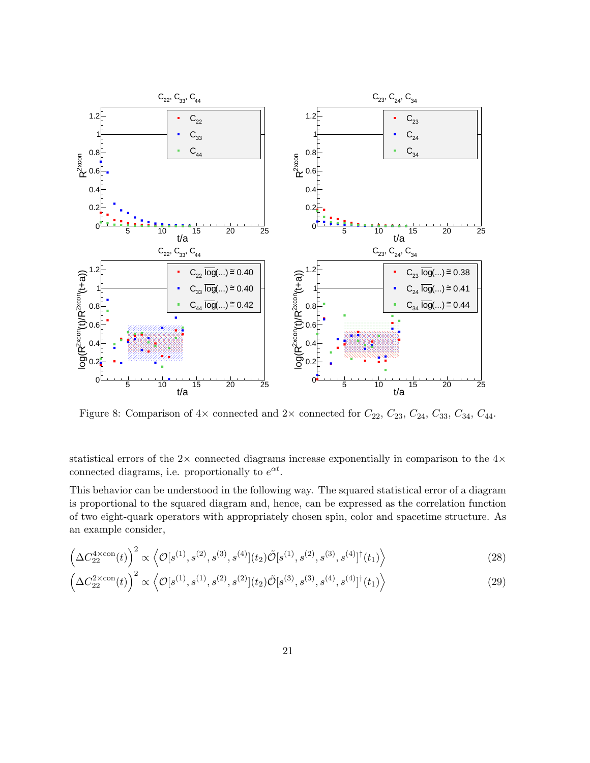<span id="page-21-0"></span>

Figure 8: Comparison of  $4\times$  connected and  $2\times$  connected for  $C_{22}$ ,  $C_{23}$ ,  $C_{24}$ ,  $C_{33}$ ,  $C_{34}$ ,  $C_{44}$ .

statistical errors of the  $2\times$  connected diagrams increase exponentially in comparison to the  $4\times$ connected diagrams, i.e. proportionally to  $e^{\alpha t}$ .

This behavior can be understood in the following way. The squared statistical error of a diagram is proportional to the squared diagram and, hence, can be expressed as the correlation function of two eight-quark operators with appropriately chosen spin, color and spacetime structure. As an example consider,

<span id="page-21-1"></span>
$$
\left(\Delta C_{22}^{4 \times \text{con}}(t)\right)^2 \propto \left\langle \mathcal{O}[s^{(1)}, s^{(2)}, s^{(3)}, s^{(4)}](t_2) \tilde{\mathcal{O}}[s^{(1)}, s^{(2)}, s^{(3)}, s^{(4)}]^{\dagger}(t_1) \right\rangle \tag{28}
$$

<span id="page-21-2"></span>
$$
\left(\Delta C_{22}^{2\times\text{con}}(t)\right)^2 \propto \left\langle \mathcal{O}[s^{(1)}, s^{(1)}, s^{(2)}, s^{(2)}](t_2) \tilde{\mathcal{O}}[s^{(3)}, s^{(3)}, s^{(4)}, s^{(4)}]^{\dagger}(t_1) \right\rangle \tag{29}
$$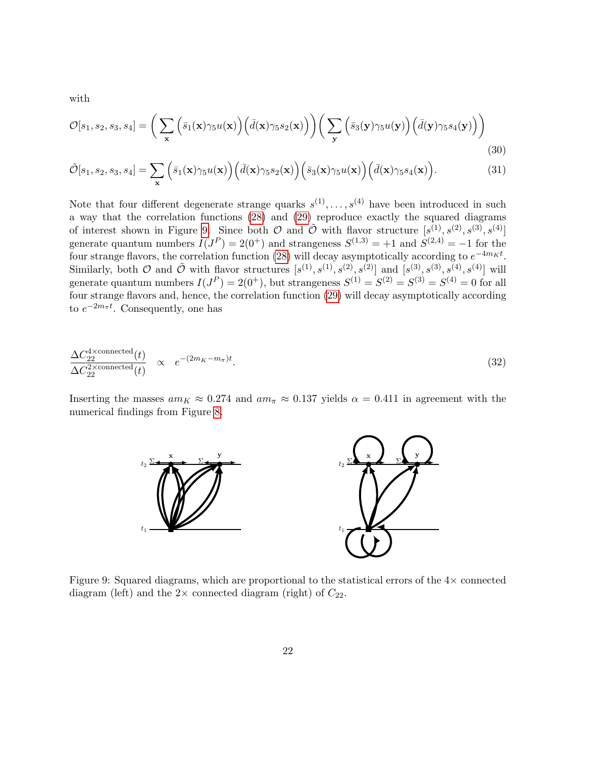with

$$
\mathcal{O}[s_1, s_2, s_3, s_4] = \left(\sum_{\mathbf{x}} \left(\bar{s}_1(\mathbf{x})\gamma_5 u(\mathbf{x})\right) \left(\bar{d}(\mathbf{x})\gamma_5 s_2(\mathbf{x})\right)\right) \left(\sum_{\mathbf{y}} \left(\bar{s}_3(\mathbf{y})\gamma_5 u(\mathbf{y})\right) \left(\bar{d}(\mathbf{y})\gamma_5 s_4(\mathbf{y})\right)\right)
$$
\n(30)

$$
\tilde{\mathcal{O}}[s_1, s_2, s_3, s_4] = \sum_{\mathbf{x}} \left( \bar{s}_1(\mathbf{x}) \gamma_5 u(\mathbf{x}) \right) \left( \bar{d}(\mathbf{x}) \gamma_5 s_2(\mathbf{x}) \right) \left( \bar{s}_3(\mathbf{x}) \gamma_5 u(\mathbf{x}) \right) \left( \bar{d}(\mathbf{x}) \gamma_5 s_4(\mathbf{x}) \right). \tag{31}
$$

Note that four different degenerate strange quarks  $s^{(1)}, \ldots, s^{(4)}$  have been introduced in such a way that the correlation functions [\(28\)](#page-21-1) and [\(29\)](#page-21-2) reproduce exactly the squared diagrams of interest shown in Figure [9.](#page-22-0) Since both  $\mathcal O$  and  $\tilde{\mathcal O}$  with flavor structure  $[s^{(1)}, s^{(2)}, s^{(3)}, s^{(4)}]$ generate quantum numbers  $I(J^P) = 2(0^+)$  and strangeness  $S^{(1,3)} = +1$  and  $S^{(2,4)} = -1$  for the four strange flavors, the correlation function [\(28\)](#page-21-1) will decay asymptotically according to  $e^{-4m_K t}$ . Similarly, both  $\mathcal O$  and  $\tilde{\mathcal O}$  with flavor structures  $[s^{(1)}, s^{(1)}, s^{(2)}, s^{(2)}]$  and  $[s^{(3)}, s^{(3)}, s^{(4)}, s^{(4)}]$  will generate quantum numbers  $I(J^P) = 2(0^+)$ , but strangeness  $S^{(1)} = S^{(2)} = S^{(3)} = S^{(4)} = 0$  for all four strange flavors and, hence, the correlation function [\(29\)](#page-21-2) will decay asymptotically according to  $e^{-2m_{\pi}t}$ . Consequently, one has

$$
\frac{\Delta C_{22}^{4 \times \text{connected}}(t)}{\Delta C_{22}^{2 \times \text{connected}}(t)} \propto e^{-(2m_K - m_{\pi})t}.
$$
\n(32)

<span id="page-22-0"></span>Inserting the masses  $am_K \approx 0.274$  and  $am_\pi \approx 0.137$  yields  $\alpha = 0.411$  in agreement with the numerical findings from Figure [8.](#page-21-0)



Figure 9: Squared diagrams, which are proportional to the statistical errors of the  $4\times$  connected diagram (left) and the  $2 \times$  connected diagram (right) of  $C_{22}$ .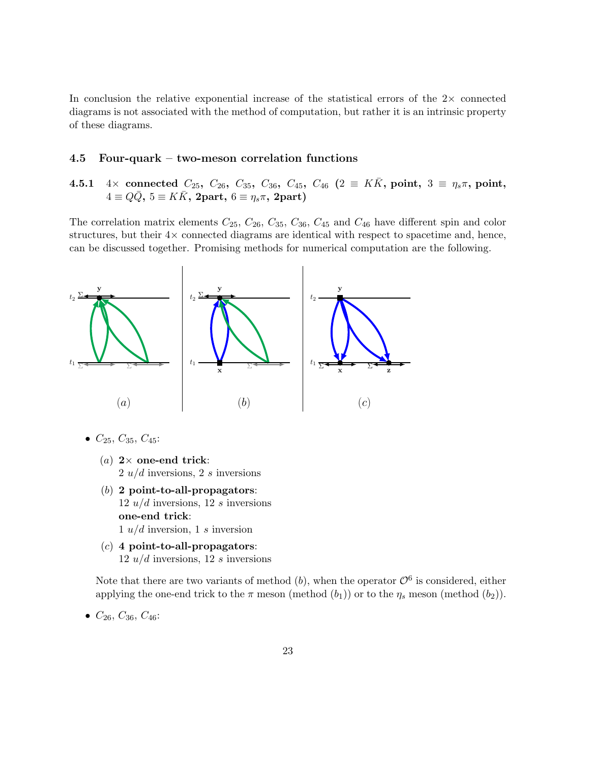In conclusion the relative exponential increase of the statistical errors of the  $2\times$  connected diagrams is not associated with the method of computation, but rather it is an intrinsic property of these diagrams.

### 4.5 Four-quark – two-meson correlation functions

<span id="page-23-0"></span>4.5.1 4× connected  $C_{25}$ ,  $C_{26}$ ,  $C_{35}$ ,  $C_{36}$ ,  $C_{45}$ ,  $C_{46}$  (2  $\equiv K\bar{K}$ , point, 3  $\equiv \eta_s \pi$ , point,  $4 \equiv Q\bar{Q}$ ,  $5 \equiv K\bar{K}$ , 2part,  $6 \equiv \eta_s \pi$ , 2part)

The correlation matrix elements  $C_{25}$ ,  $C_{26}$ ,  $C_{35}$ ,  $C_{36}$ ,  $C_{45}$  and  $C_{46}$  have different spin and color structures, but their  $4 \times$  connected diagrams are identical with respect to spacetime and, hence, can be discussed together. Promising methods for numerical computation are the following.



- $C_{25}, C_{35}, C_{45}$ :
	- (a)  $2 \times$  one-end trick:  $2 u/d$  inversions,  $2 s$  inversions
	- $(b)$  2 point-to-all-propagators: 12  $u/d$  inversions, 12 s inversions one-end trick:  $1 u/d$  inversion, 1 s inversion
	- $(c)$  4 point-to-all-propagators:  $12 u/d$  inversions,  $12 s$  inversions

Note that there are two variants of method  $(b)$ , when the operator  $\mathcal{O}^6$  is considered, either applying the one-end trick to the  $\pi$  meson (method  $(b_1)$ ) or to the  $\eta_s$  meson (method  $(b_2)$ ).

•  $C_{26}$ ,  $C_{36}$ ,  $C_{46}$ :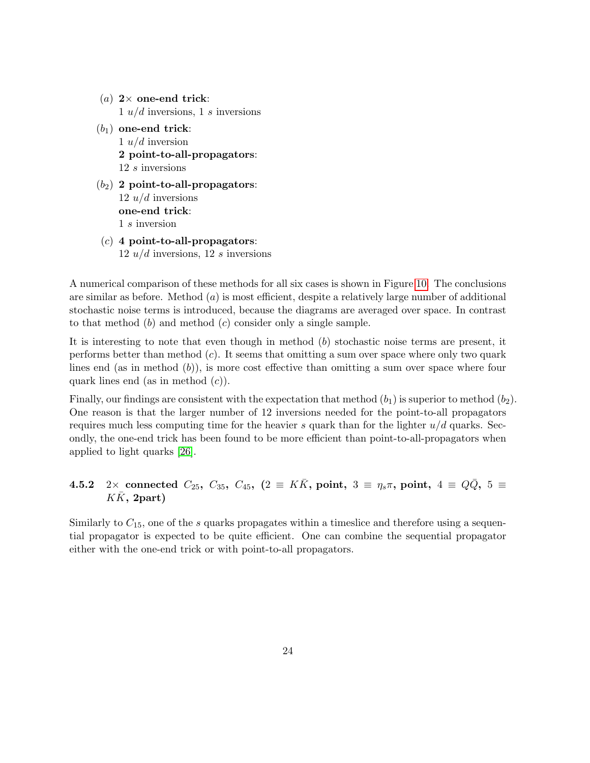- (a)  $2 \times$  one-end trick:  $1 u/d$  inversions,  $1 s$  inversions
- $(b_1)$  one-end trick: 1  $u/d$  inversion 2 point-to-all-propagators: 12 s inversions
- $(b_2)$  2 point-to-all-propagators:  $12 u/d$  inversions one-end trick: 1 s inversion
- $(c)$  4 point-to-all-propagators: 12  $u/d$  inversions, 12 s inversions

A numerical comparison of these methods for all six cases is shown in Figure [10.](#page-25-0) The conclusions are similar as before. Method  $(a)$  is most efficient, despite a relatively large number of additional stochastic noise terms is introduced, because the diagrams are averaged over space. In contrast to that method  $(b)$  and method  $(c)$  consider only a single sample.

It is interesting to note that even though in method  $(b)$  stochastic noise terms are present, it performs better than method  $(c)$ . It seems that omitting a sum over space where only two quark lines end (as in method  $(b)$ ), is more cost effective than omitting a sum over space where four quark lines end (as in method  $(c)$ ).

Finally, our findings are consistent with the expectation that method  $(b_1)$  is superior to method  $(b_2)$ . One reason is that the larger number of 12 inversions needed for the point-to-all propagators requires much less computing time for the heavier s quark than for the lighter  $u/d$  quarks. Secondly, the one-end trick has been found to be more efficient than point-to-all-propagators when applied to light quarks [\[26\]](#page-45-12).

# 4.5.2 2× connected  $C_{25}$ ,  $C_{35}$ ,  $C_{45}$ ,  $(2 \equiv K\bar{K}$ , point,  $3 \equiv \eta_s \pi$ , point,  $4 \equiv Q\bar{Q}$ ,  $5 \equiv$  $K\bar K$ , 2part)

Similarly to  $C_{15}$ , one of the s quarks propagates within a timeslice and therefore using a sequential propagator is expected to be quite efficient. One can combine the sequential propagator either with the one-end trick or with point-to-all propagators.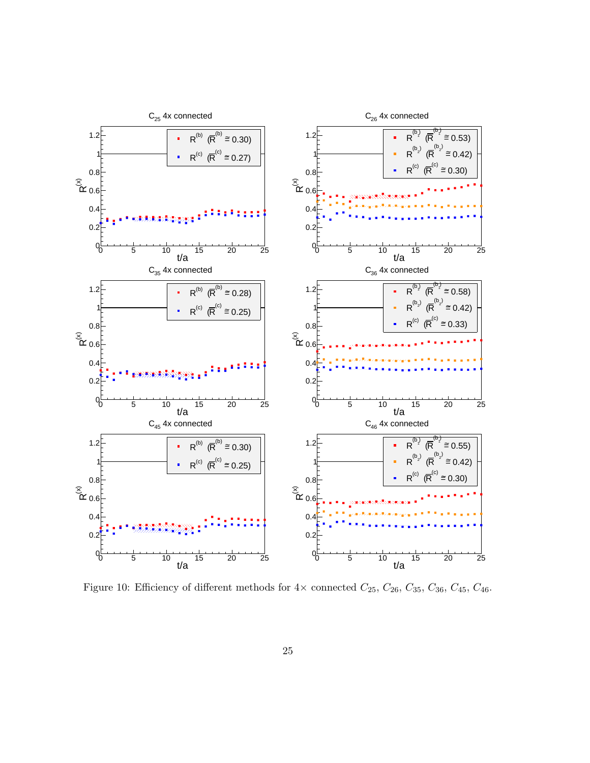<span id="page-25-0"></span>

Figure 10: Efficiency of different methods for  $4\times$  connected  $C_{25},$   $C_{26},$   $C_{35},$   $C_{36},$   $C_{45},$   $C_{46}.$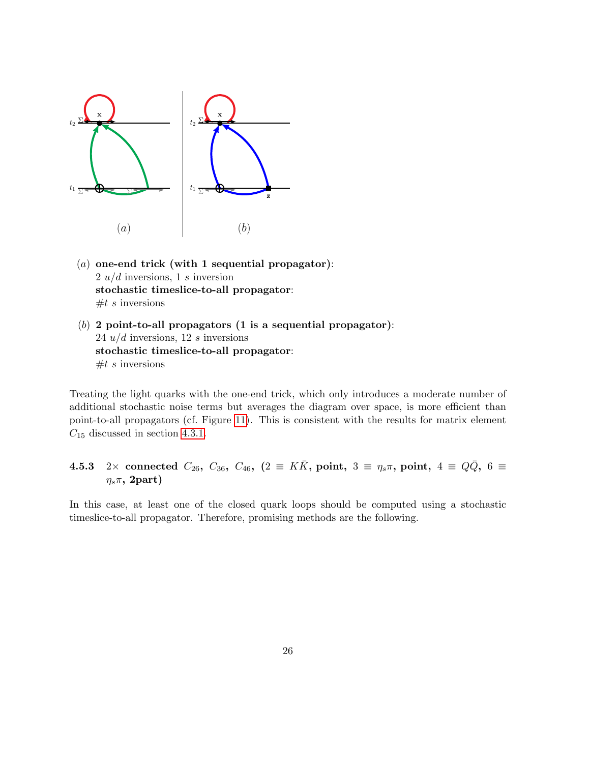

- (a) one-end trick (with 1 sequential propagator):  $2 u/d$  inversions, 1 s inversion stochastic timeslice-to-all propagator:  $#t s$  inversions
- (b) 2 point-to-all propagators  $(1 \text{ is a sequential propagator})$ : 24  $u/d$  inversions, 12 s inversions stochastic timeslice-to-all propagator:  $#t s$  inversions

Treating the light quarks with the one-end trick, which only introduces a moderate number of additional stochastic noise terms but averages the diagram over space, is more efficient than point-to-all propagators (cf. Figure [11\)](#page-27-0). This is consistent with the results for matrix element  $C_{15}$  discussed in section [4.3.1.](#page-16-0)

## <span id="page-26-0"></span>4.5.3 2× connected  $C_{26}$ ,  $C_{36}$ ,  $C_{46}$ ,  $(2 \equiv K\bar{K}$ , point,  $3 \equiv \eta_s \pi$ , point,  $4 \equiv Q\bar{Q}$ ,  $6 \equiv$  $\eta_s\pi$ , 2part)

In this case, at least one of the closed quark loops should be computed using a stochastic timeslice-to-all propagator. Therefore, promising methods are the following.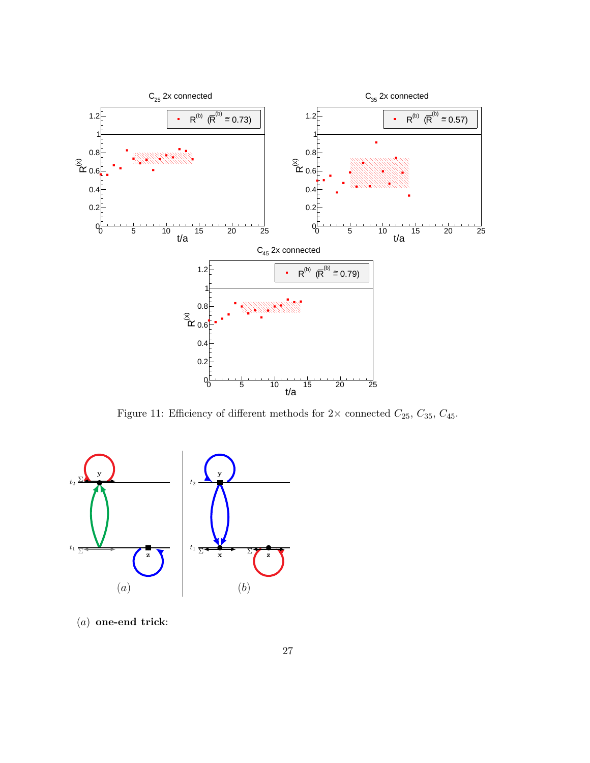<span id="page-27-0"></span>

Figure 11: Efficiency of different methods for  $2\times$  connected  $C_{25},\,C_{35},\,C_{45}.$ 



(a) one-end trick: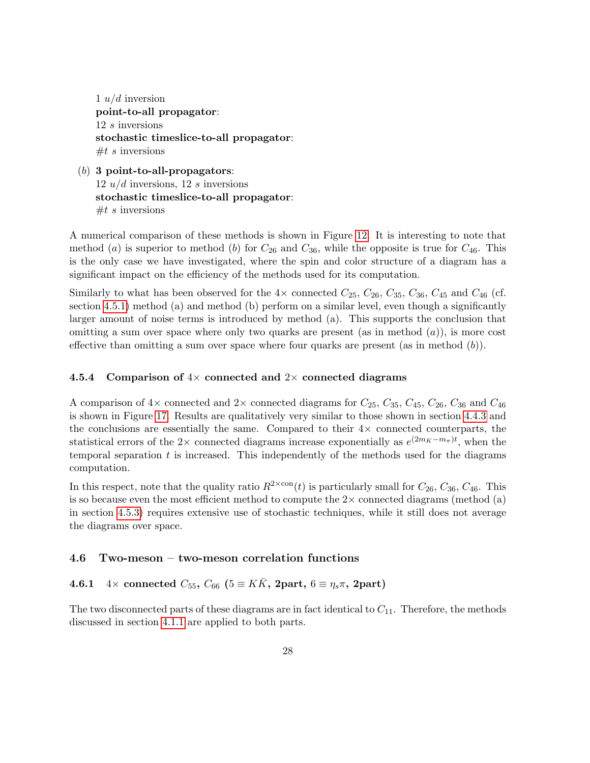1  $u/d$  inversion point-to-all propagator: 12 s inversions stochastic timeslice-to-all propagator:  $#t s$  inversions

 $(b)$  3 point-to-all-propagators: 12  $u/d$  inversions, 12 s inversions stochastic timeslice-to-all propagator:  $#t s$  inversions

A numerical comparison of these methods is shown in Figure [12.](#page-29-0) It is interesting to note that method (a) is superior to method (b) for  $C_{26}$  and  $C_{36}$ , while the opposite is true for  $C_{46}$ . This is the only case we have investigated, where the spin and color structure of a diagram has a significant impact on the efficiency of the methods used for its computation.

Similarly to what has been observed for the  $4\times$  connected  $C_{25}$ ,  $C_{26}$ ,  $C_{35}$ ,  $C_{36}$ ,  $C_{45}$  and  $C_{46}$  (cf. section [4.5.1\)](#page-23-0) method (a) and method (b) perform on a similar level, even though a significantly larger amount of noise terms is introduced by method (a). This supports the conclusion that omitting a sum over space where only two quarks are present (as in method  $(a)$ ), is more cost effective than omitting a sum over space where four quarks are present (as in method  $(b)$ ).

### 4.5.4 Comparison of  $4\times$  connected and  $2\times$  connected diagrams

A comparison of  $4\times$  connected and  $2\times$  connected diagrams for  $C_{25}$ ,  $C_{35}$ ,  $C_{45}$ ,  $C_{36}$ ,  $C_{36}$  and  $C_{46}$ is shown in Figure [17.](#page-36-0) Results are qualitatively very similar to those shown in section [4.4.3](#page-20-0) and the conclusions are essentially the same. Compared to their  $4\times$  connected counterparts, the statistical errors of the 2× connected diagrams increase exponentially as  $e^{(2m_K - m_{\pi})t}$ , when the temporal separation  $t$  is increased. This independently of the methods used for the diagrams computation.

In this respect, note that the quality ratio  $R^{2\times \text{con}}(t)$  is particularly small for  $C_{26}$ ,  $C_{36}$ ,  $C_{46}$ . This is so because even the most efficient method to compute the  $2\times$  connected diagrams (method (a) in section [4.5.3\)](#page-26-0) requires extensive use of stochastic techniques, while it still does not average the diagrams over space.

### 4.6 Two-meson – two-meson correlation functions

### <span id="page-28-0"></span>4.6.1  $4 \times$  connected  $C_{55}$ ,  $C_{66}$  ( $5 \equiv KK$ , 2part,  $6 \equiv \eta_s \pi$ , 2part)

The two disconnected parts of these diagrams are in fact identical to  $C_{11}$ . Therefore, the methods discussed in section [4.1.1](#page-13-1) are applied to both parts.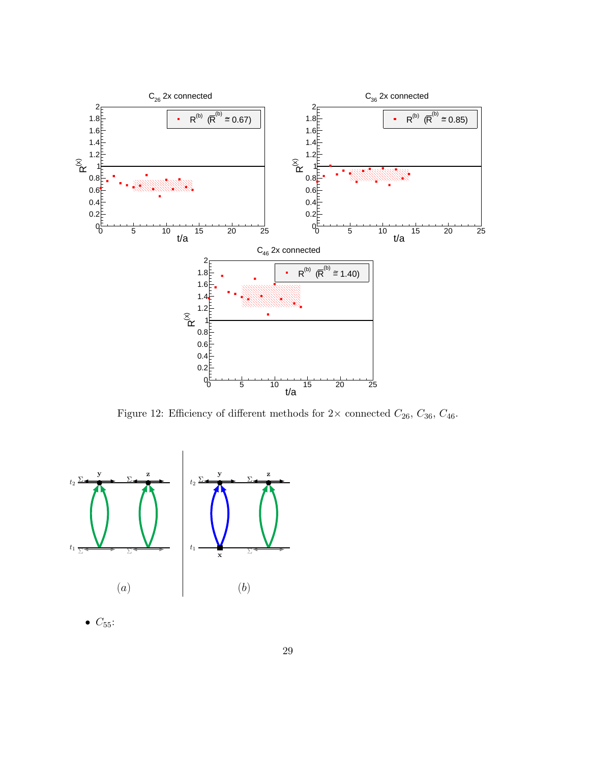<span id="page-29-0"></span>

Figure 12: Efficiency of different methods for  $2 \times$  connected  $C_{26}$ ,  $C_{36}$ ,  $C_{46}$ .



 $\bullet$   $C_{55}$ :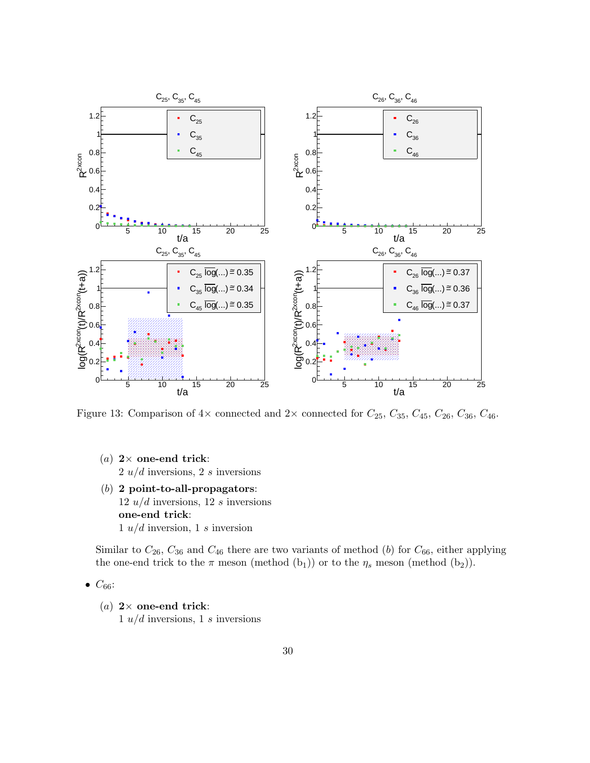

Figure 13: Comparison of  $4\times$  connected and  $2\times$  connected for  $C_{25}$ ,  $C_{35}$ ,  $C_{45}$ ,  $C_{26}$ ,  $C_{36}$ ,  $C_{46}$ .

- (a)  $2 \times$  one-end trick:  $2 u/d$  inversions,  $2 s$  inversions
- (b) 2 point-to-all-propagators: 12  $u/d$  inversions, 12 s inversions one-end trick:  $1 u/d$  inversion,  $1 s$  inversion

Similar to  $C_{26}$ ,  $C_{36}$  and  $C_{46}$  there are two variants of method (b) for  $C_{66}$ , either applying the one-end trick to the  $\pi$  meson (method  $(b_1)$ ) or to the  $\eta_s$  meson (method  $(b_2)$ ).

- $\bullet$   $C_{66}$ :
	- (a)  $2 \times$  one-end trick:  $1 u/d$  inversions,  $1 s$  inversions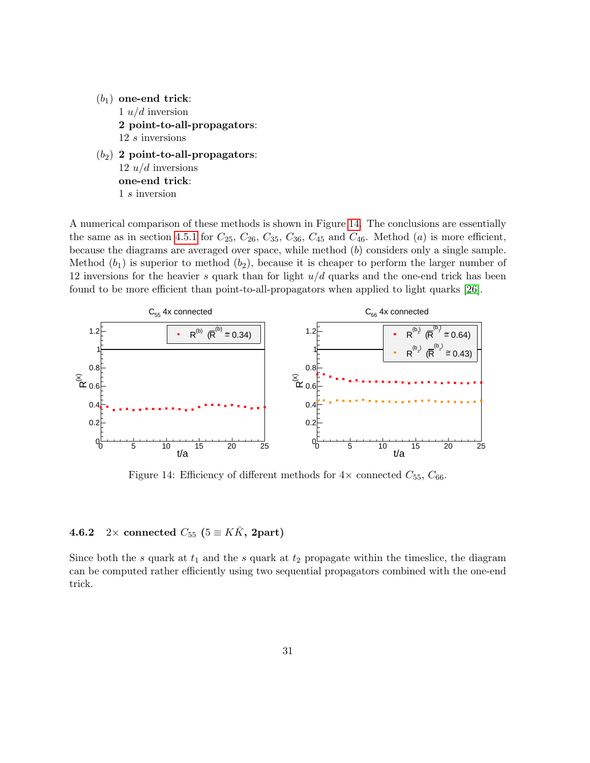- $(b_1)$  one-end trick: 1  $u/d$  inversion 2 point-to-all-propagators:  $12\ s$  inversions
- $(b_2)$  2 point-to-all-propagators:  $12 u/d$  inversions one-end trick: 1 s inversion

A numerical comparison of these methods is shown in Figure [14.](#page-31-0) The conclusions are essentially the same as in section [4.5.1](#page-23-0) for  $C_{25}$ ,  $C_{26}$ ,  $C_{35}$ ,  $C_{36}$ ,  $C_{45}$  and  $C_{46}$ . Method (a) is more efficient, because the diagrams are averaged over space, while method  $(b)$  considers only a single sample. Method  $(b_1)$  is superior to method  $(b_2)$ , because it is cheaper to perform the larger number of 12 inversions for the heavier  $s$  quark than for light  $u/d$  quarks and the one-end trick has been found to be more efficient than point-to-all-propagators when applied to light quarks [\[26\]](#page-45-12).

<span id="page-31-0"></span>

Figure 14: Efficiency of different methods for  $4\times$  connected  $C_{55}$ ,  $C_{66}$ .

### 4.6.2 2× connected  $C_{55}$  ( $5 \equiv K\bar{K}$ , 2part)

Since both the s quark at  $t_1$  and the s quark at  $t_2$  propagate within the timeslice, the diagram can be computed rather efficiently using two sequential propagators combined with the one-end trick.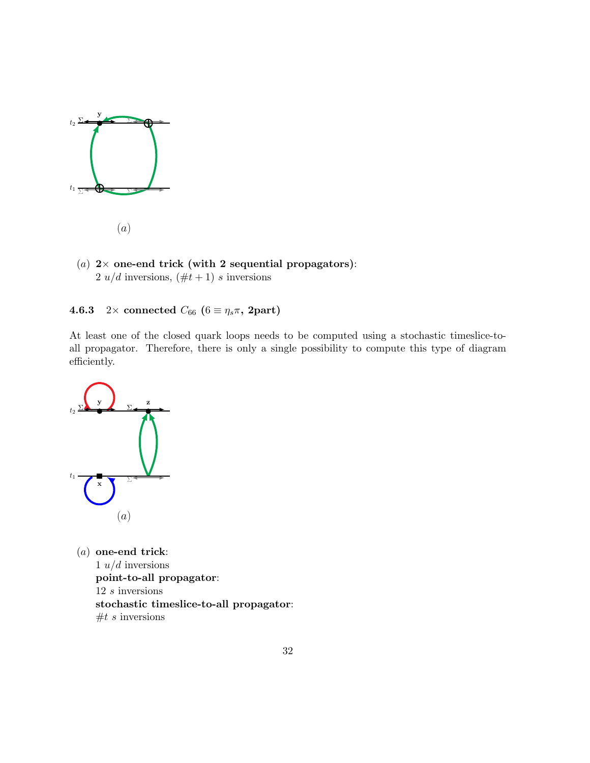

- (a)
- (a)  $2 \times$  one-end trick (with 2 sequential propagators): 2  $u/d$  inversions,  $(\#t + 1)$  s inversions

4.6.3 2× connected  $C_{66}$  ( $6 \equiv \eta_s \pi$ , 2part)

At least one of the closed quark loops needs to be computed using a stochastic timeslice-toall propagator. Therefore, there is only a single possibility to compute this type of diagram efficiently.



(a) one-end trick: 1  $u/d$  inversions point-to-all propagator: 12 s inversions stochastic timeslice-to-all propagator:  $#t s$  inversions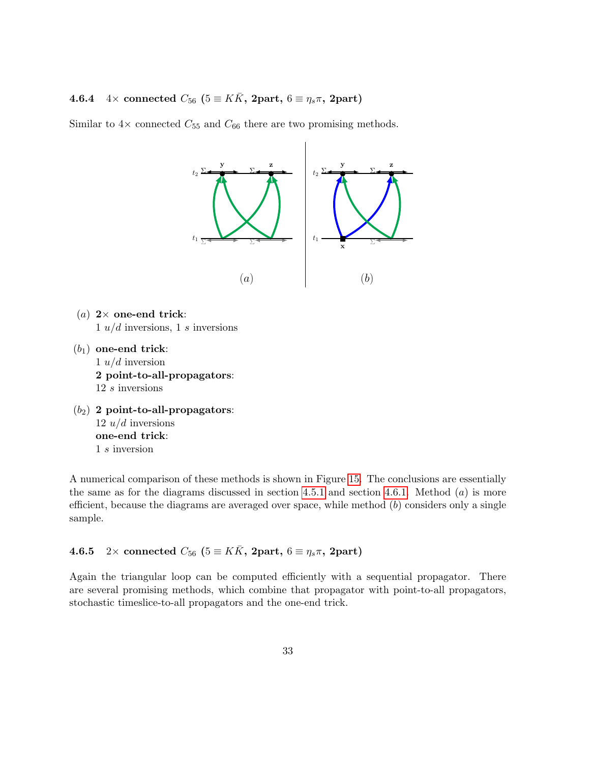## 4.6.4 4× connected  $C_{56}$  ( $5 \equiv K\bar{K}$ , 2part,  $6 \equiv \eta_s \pi$ , 2part)

Similar to  $4\times$  connected  $C_{55}$  and  $C_{66}$  there are two promising methods.



- (a)  $2 \times$  one-end trick:  $1 u/d$  inversions,  $1 s$  inversions
- $(b_1)$  one-end trick: 1  $u/d$  inversion 2 point-to-all-propagators: 12 s inversions
- $(b_2)$  2 point-to-all-propagators: 12  $u/d$  inversions one-end trick: 1 s inversion

A numerical comparison of these methods is shown in Figure [15.](#page-34-0) The conclusions are essentially the same as for the diagrams discussed in section [4.5.1](#page-23-0) and section [4.6.1.](#page-28-0) Method  $(a)$  is more efficient, because the diagrams are averaged over space, while method  $(b)$  considers only a single sample.

<span id="page-33-0"></span>4.6.5 2× connected  $C_{56}$  ( $5 \equiv K\bar{K}$ , 2part,  $6 \equiv \eta_s \pi$ , 2part)

Again the triangular loop can be computed efficiently with a sequential propagator. There are several promising methods, which combine that propagator with point-to-all propagators, stochastic timeslice-to-all propagators and the one-end trick.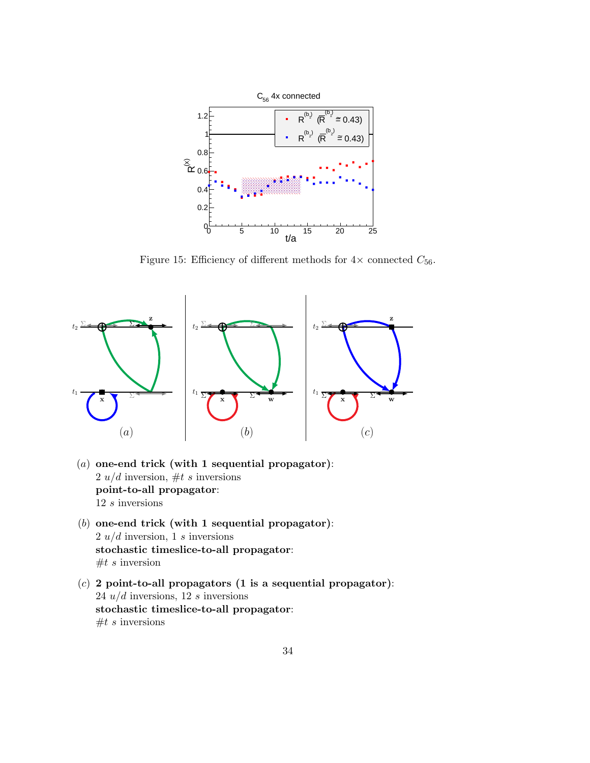<span id="page-34-0"></span>

Figure 15: Efficiency of different methods for  $4\times$  connected  $C_{56}$ .



- (a) one-end trick (with 1 sequential propagator): 2  $u/d$  inversion, #t s inversions point-to-all propagator:  $12\ s$  inversions
- (b) one-end trick (with 1 sequential propagator):  $2 u/d$  inversion, 1 s inversions stochastic timeslice-to-all propagator:  $#t s$  inversion
- $(c)$  2 point-to-all propagators (1 is a sequential propagator): 24  $u/d$  inversions, 12 s inversions stochastic timeslice-to-all propagator:  $#t s$  inversions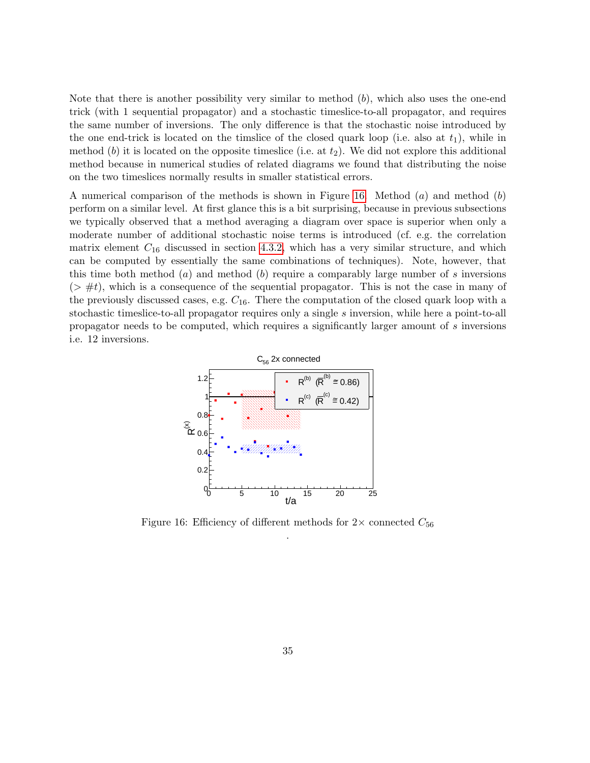Note that there is another possibility very similar to method  $(b)$ , which also uses the one-end trick (with 1 sequential propagator) and a stochastic timeslice-to-all propagator, and requires the same number of inversions. The only difference is that the stochastic noise introduced by the one end-trick is located on the timslice of the closed quark loop (i.e. also at  $t_1$ ), while in method (b) it is located on the opposite timeslice (i.e. at  $t_2$ ). We did not explore this additional method because in numerical studies of related diagrams we found that distributing the noise on the two timeslices normally results in smaller statistical errors.

A numerical comparison of the methods is shown in Figure [16.](#page-35-0) Method  $(a)$  and method  $(b)$ perform on a similar level. At first glance this is a bit surprising, because in previous subsections we typically observed that a method averaging a diagram over space is superior when only a moderate number of additional stochastic noise terms is introduced (cf. e.g. the correlation matrix element  $C_{16}$  discussed in section [4.3.2,](#page-18-0) which has a very similar structure, and which can be computed by essentially the same combinations of techniques). Note, however, that this time both method (a) and method (b) require a comparably large number of s inversions  $(> \#t)$ , which is a consequence of the sequential propagator. This is not the case in many of the previously discussed cases, e.g.  $C_{16}$ . There the computation of the closed quark loop with a stochastic timeslice-to-all propagator requires only a single s inversion, while here a point-to-all propagator needs to be computed, which requires a significantly larger amount of s inversions i.e. 12 inversions.

<span id="page-35-0"></span>

Figure 16: Efficiency of different methods for  $2\times$  connected  $C_{56}$ .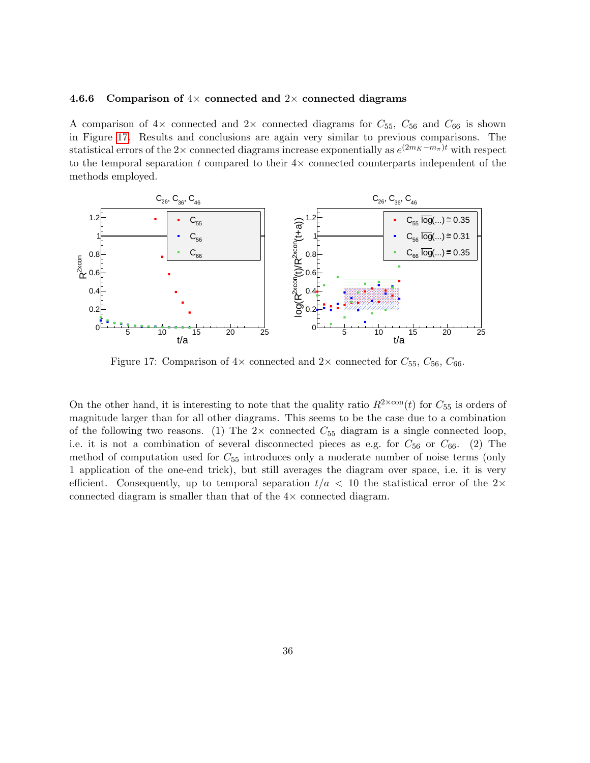#### 4.6.6 Comparison of  $4\times$  connected and  $2\times$  connected diagrams

A comparison of  $4\times$  connected and  $2\times$  connected diagrams for  $C_{55}$ ,  $C_{56}$  and  $C_{66}$  is shown in Figure [17.](#page-36-0) Results and conclusions are again very similar to previous comparisons. The statistical errors of the 2× connected diagrams increase exponentially as  $e^{(2m_K-m_{\pi})t}$  with respect to the temporal separation t compared to their  $4\times$  connected counterparts independent of the methods employed.

<span id="page-36-0"></span>

Figure 17: Comparison of  $4\times$  connected and  $2\times$  connected for  $C_{55}$ ,  $C_{56}$ ,  $C_{66}$ .

On the other hand, it is interesting to note that the quality ratio  $R^{2\times \text{con}}(t)$  for  $C_{55}$  is orders of magnitude larger than for all other diagrams. This seems to be the case due to a combination of the following two reasons. (1) The  $2 \times$  connected  $C_{55}$  diagram is a single connected loop, i.e. it is not a combination of several disconnected pieces as e.g. for  $C_{56}$  or  $C_{66}$ . (2) The method of computation used for  $C_{55}$  introduces only a moderate number of noise terms (only 1 application of the one-end trick), but still averages the diagram over space, i.e. it is very efficient. Consequently, up to temporal separation  $t/a < 10$  the statistical error of the 2× connected diagram is smaller than that of the 4× connected diagram.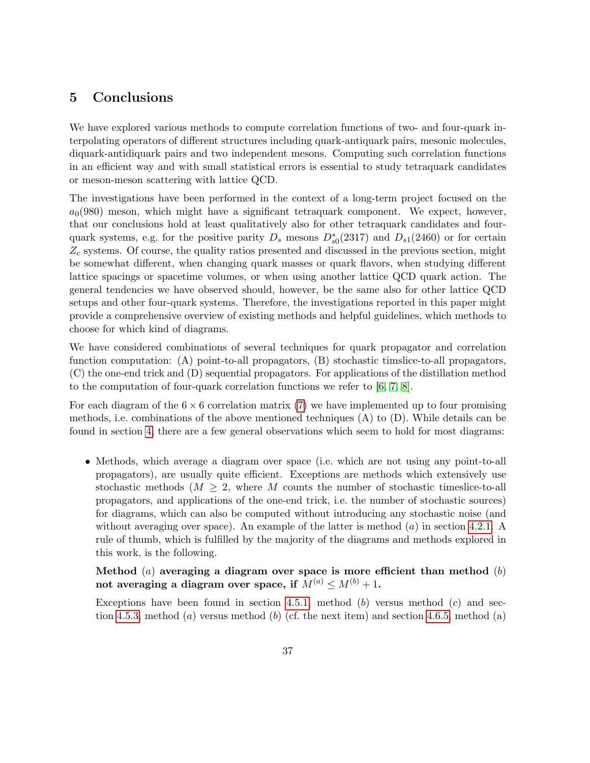# <span id="page-37-0"></span>5 Conclusions

We have explored various methods to compute correlation functions of two- and four-quark interpolating operators of different structures including quark-antiquark pairs, mesonic molecules, diquark-antidiquark pairs and two independent mesons. Computing such correlation functions in an efficient way and with small statistical errors is essential to study tetraquark candidates or meson-meson scattering with lattice QCD.

The investigations have been performed in the context of a long-term project focused on the  $a<sub>0</sub>(980)$  meson, which might have a significant tetraquark component. We expect, however, that our conclusions hold at least qualitatively also for other tetraquark candidates and fourquark systems, e.g. for the positive parity  $D_s$  mesons  $D_{s0}^*(2317)$  and  $D_{s1}(2460)$  or for certain  $Z_c$  systems. Of course, the quality ratios presented and discussed in the previous section, might be somewhat different, when changing quark masses or quark flavors, when studying different lattice spacings or spacetime volumes, or when using another lattice QCD quark action. The general tendencies we have observed should, however, be the same also for other lattice QCD setups and other four-quark systems. Therefore, the investigations reported in this paper might provide a comprehensive overview of existing methods and helpful guidelines, which methods to choose for which kind of diagrams.

We have considered combinations of several techniques for quark propagator and correlation function computation: (A) point-to-all propagators, (B) stochastic timslice-to-all propagators, (C) the one-end trick and (D) sequential propagators. For applications of the distillation method to the computation of four-quark correlation functions we refer to [\[6,](#page-44-5) [7,](#page-44-6) [8\]](#page-44-7).

For each diagram of the  $6 \times 6$  correlation matrix [\(7\)](#page-3-6) we have implemented up to four promising methods, i.e. combinations of the above mentioned techniques (A) to (D). While details can be found in section [4,](#page-12-0) there are a few general observations which seem to hold for most diagrams:

• Methods, which average a diagram over space (i.e. which are not using any point-to-all propagators), are usually quite efficient. Exceptions are methods which extensively use stochastic methods  $(M \geq 2$ , where M counts the number of stochastic timeslice-to-all propagators, and applications of the one-end trick, i.e. the number of stochastic sources) for diagrams, which can also be computed without introducing any stochastic noise (and without averaging over space). An example of the latter is method  $(a)$  in section [4.2.1.](#page-14-1) A rule of thumb, which is fulfilled by the majority of the diagrams and methods explored in this work, is the following.

Method  $(a)$  averaging a diagram over space is more efficient than method  $(b)$ not averaging a diagram over space, if  $M^{(a)} \le M^{(b)} + 1$ .

Exceptions have been found in section [4.5.1,](#page-23-0) method  $(b)$  versus method  $(c)$  and sec-tion [4.5.3,](#page-26-0) method (a) versus method (b) (cf. the next item) and section [4.6.5,](#page-33-0) method (a)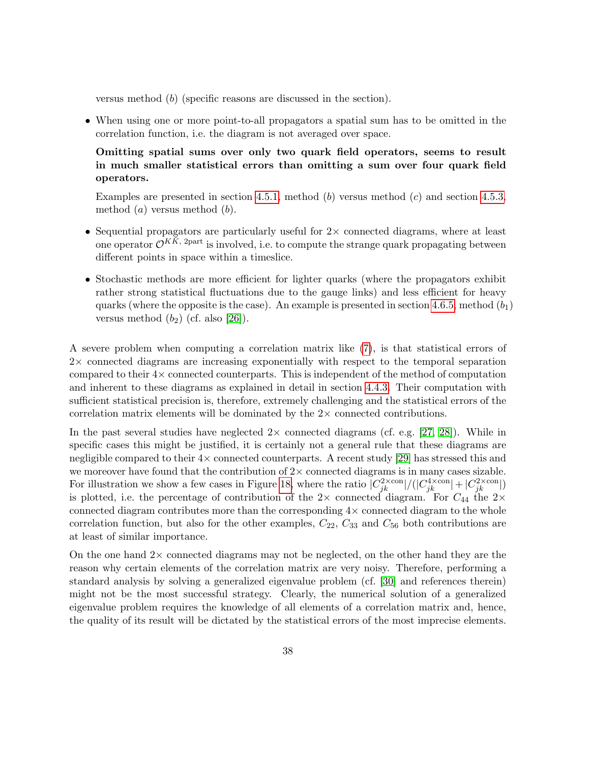versus method (b) (specific reasons are discussed in the section).

• When using one or more point-to-all propagators a spatial sum has to be omitted in the correlation function, i.e. the diagram is not averaged over space.

Omitting spatial sums over only two quark field operators, seems to result in much smaller statistical errors than omitting a sum over four quark field operators.

Examples are presented in section [4.5.1,](#page-23-0) method (b) versus method (c) and section [4.5.3,](#page-26-0) method  $(a)$  versus method  $(b)$ .

- Sequential propagators are particularly useful for  $2\times$  connected diagrams, where at least one operator  $\mathcal{O}^{KK, 2\text{part}}$  is involved, i.e. to compute the strange quark propagating between different points in space within a timeslice.
- Stochastic methods are more efficient for lighter quarks (where the propagators exhibit rather strong statistical fluctuations due to the gauge links) and less efficient for heavy quarks (where the opposite is the case). An example is presented in section [4.6.5,](#page-33-0) method  $(b_1)$ versus method  $(b_2)$  (cf. also [\[26\]](#page-45-12)).

A severe problem when computing a correlation matrix like [\(7\)](#page-3-6), is that statistical errors of 2× connected diagrams are increasing exponentially with respect to the temporal separation compared to their 4× connected counterparts. This is independent of the method of computation and inherent to these diagrams as explained in detail in section [4.4.3.](#page-20-0) Their computation with sufficient statistical precision is, therefore, extremely challenging and the statistical errors of the correlation matrix elements will be dominated by the  $2\times$  connected contributions.

In the past several studies have neglected  $2 \times$  connected diagrams (cf. e.g. [\[27,](#page-45-13) [28\]](#page-45-14)). While in specific cases this might be justified, it is certainly not a general rule that these diagrams are negligible compared to their  $4\times$  connected counterparts. A recent study [\[29\]](#page-46-0) has stressed this and we moreover have found that the contribution of  $2\times$  connected diagrams is in many cases sizable. For illustration we show a few cases in Figure [18,](#page-39-0) where the ratio  $|C_{jk}^{2\times \text{con}}|/(|C_{jk}^{4\times \text{con}}|+|C_{jk}^{2\times \text{con}}|)$ is plotted, i.e. the percentage of contribution of the  $2\times$  connected diagram. For  $C_{44}$  the  $2\times$ connected diagram contributes more than the corresponding  $4\times$  connected diagram to the whole correlation function, but also for the other examples,  $C_{22}$ ,  $C_{33}$  and  $C_{56}$  both contributions are at least of similar importance.

On the one hand  $2\times$  connected diagrams may not be neglected, on the other hand they are the reason why certain elements of the correlation matrix are very noisy. Therefore, performing a standard analysis by solving a generalized eigenvalue problem (cf. [\[30\]](#page-46-1) and references therein) might not be the most successful strategy. Clearly, the numerical solution of a generalized eigenvalue problem requires the knowledge of all elements of a correlation matrix and, hence, the quality of its result will be dictated by the statistical errors of the most imprecise elements.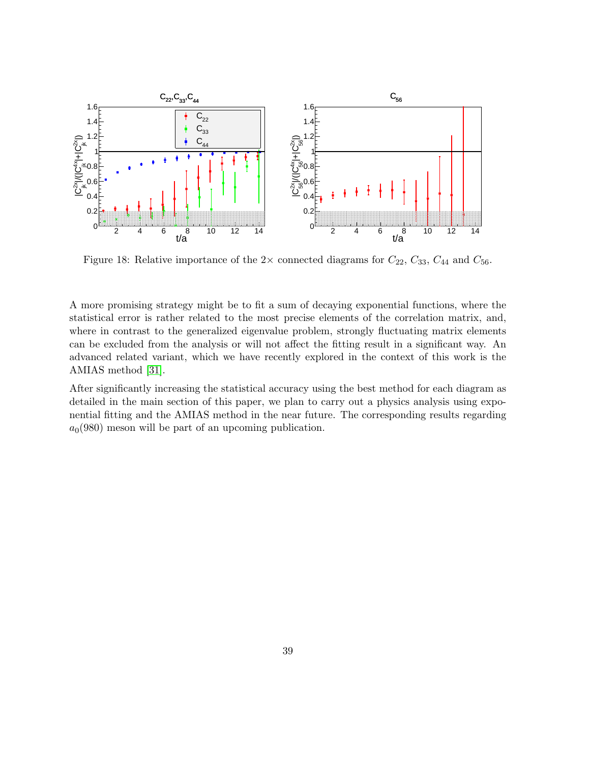<span id="page-39-0"></span>

Figure 18: Relative importance of the  $2\times$  connected diagrams for  $C_{22}$ ,  $C_{33}$ ,  $C_{44}$  and  $C_{56}$ .

A more promising strategy might be to fit a sum of decaying exponential functions, where the statistical error is rather related to the most precise elements of the correlation matrix, and, where in contrast to the generalized eigenvalue problem, strongly fluctuating matrix elements can be excluded from the analysis or will not affect the fitting result in a significant way. An advanced related variant, which we have recently explored in the context of this work is the AMIAS method [\[31\]](#page-46-2).

After significantly increasing the statistical accuracy using the best method for each diagram as detailed in the main section of this paper, we plan to carry out a physics analysis using exponential fitting and the AMIAS method in the near future. The corresponding results regarding  $a<sub>0</sub>(980)$  meson will be part of an upcoming publication.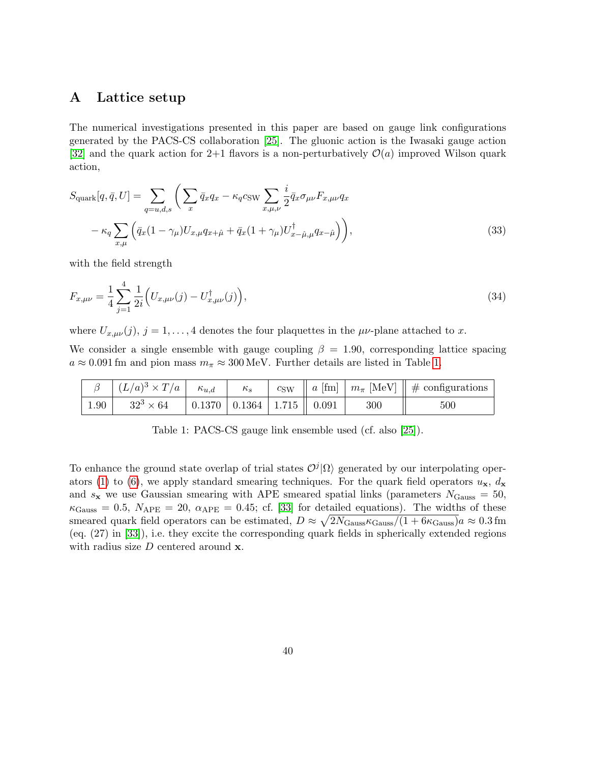## <span id="page-40-0"></span>A Lattice setup

The numerical investigations presented in this paper are based on gauge link configurations generated by the PACS-CS collaboration [\[25\]](#page-45-11). The gluonic action is the Iwasaki gauge action [\[32\]](#page-46-3) and the quark action for 2+1 flavors is a non-perturbatively  $\mathcal{O}(a)$  improved Wilson quark action,

$$
S_{\text{quark}}[q, \bar{q}, U] = \sum_{q=u,d,s} \left( \sum_x \bar{q}_x q_x - \kappa_q c_{\text{SW}} \sum_{x,\mu,\nu} \frac{i}{2} \bar{q}_x \sigma_{\mu\nu} F_{x,\mu\nu} q_x \right. \\ \left. - \kappa_q \sum_{x,\mu} \left( \bar{q}_x (1 - \gamma_\mu) U_{x,\mu} q_{x+\hat{\mu}} + \bar{q}_x (1 + \gamma_\mu) U_{x-\hat{\mu},\mu}^\dagger q_{x-\hat{\mu}} \right) \right), \tag{33}
$$

with the field strength

$$
F_{x,\mu\nu} = \frac{1}{4} \sum_{j=1}^{4} \frac{1}{2i} \Big( U_{x,\mu\nu}(j) - U_{x,\mu\nu}^{\dagger}(j) \Big),\tag{34}
$$

where  $U_{x,\mu\nu}(j)$ ,  $j = 1,\ldots,4$  denotes the four plaquettes in the  $\mu\nu$ -plane attached to x.

We consider a single ensemble with gauge coupling  $\beta = 1.90$ , corresponding lattice spacing  $a \approx 0.091$  fm and pion mass  $m_{\pi} \approx 300$  MeV. Further details are listed in Table [1.](#page-40-1)

<span id="page-40-1"></span>

|      | $\beta \mid (L/a)^3 \times T/a \mid$ | $\kappa_{u,d}$ | $\kappa_{s}$                             |  |     | $c_{\text{SW}}$   a [fm]   $m_{\pi}$ [MeV]    # configurations |
|------|--------------------------------------|----------------|------------------------------------------|--|-----|----------------------------------------------------------------|
| 1.90 | $32^3 \times 64$                     |                | $0.1370$   $0.1364$   $1.715$    $0.091$ |  | 300 | 500                                                            |

Table 1: PACS-CS gauge link ensemble used (cf. also [\[25\]](#page-45-11)).

To enhance the ground state overlap of trial states  $\mathcal{O}^j|\Omega\rangle$  generated by our interpolating oper-ators [\(1\)](#page-3-5) to [\(6\)](#page-3-2), we apply standard smearing techniques. For the quark field operators  $u_x$ ,  $d_x$ and  $s_x$  we use Gaussian smearing with APE smeared spatial links (parameters  $N_{\text{Gauss}} = 50$ ,  $\kappa_{\text{Gauss}} = 0.5, N_{\text{APE}} = 20, \ \alpha_{\text{APE}} = 0.45; \text{ cf. } [33] \text{ for detailed equations}.$  $\kappa_{\text{Gauss}} = 0.5, N_{\text{APE}} = 20, \ \alpha_{\text{APE}} = 0.45; \text{ cf. } [33] \text{ for detailed equations}.$  $\kappa_{\text{Gauss}} = 0.5, N_{\text{APE}} = 20, \ \alpha_{\text{APE}} = 0.45; \text{ cf. } [33] \text{ for detailed equations}.$  The widths of these smeared quark field operators can be estimated,  $D \approx \sqrt{2N_{\text{Gauss}}\kappa_{\text{Gauss}}/(1+6\kappa_{\text{Gauss}})}a \approx 0.3 \text{ fm}$ (eq. (27) in [\[33\]](#page-46-4)), i.e. they excite the corresponding quark fields in spherically extended regions with radius size  $D$  centered around  $x$ .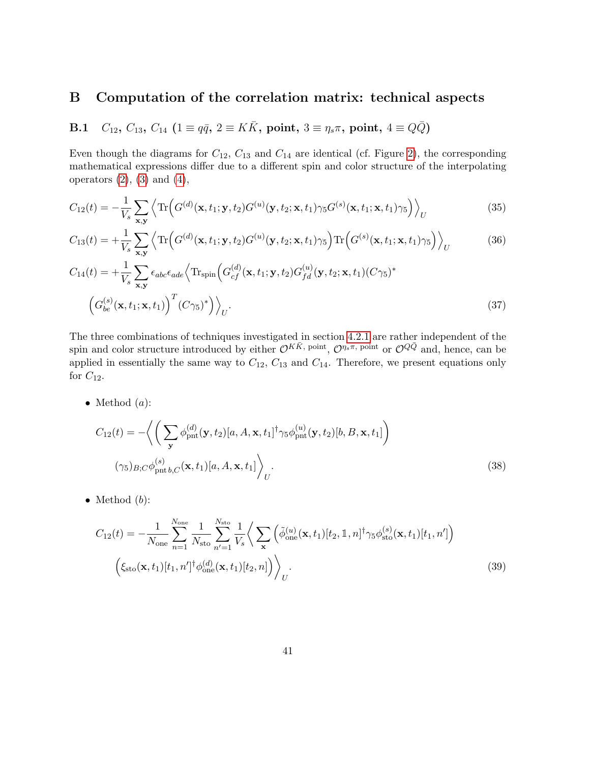# <span id="page-41-0"></span>B Computation of the correlation matrix: technical aspects

<span id="page-41-1"></span>**B.1** 
$$
C_{12}
$$
,  $C_{13}$ ,  $C_{14}$  ( $1 \equiv q\bar{q}$ ,  $2 \equiv K\bar{K}$ , point,  $3 \equiv \eta_s \pi$ , point,  $4 \equiv Q\bar{Q}$ )

Even though the diagrams for  $C_{12}$ ,  $C_{13}$  and  $C_{14}$  are identical (cf. Figure [2\)](#page-5-0), the corresponding mathematical expressions differ due to a different spin and color structure of the interpolating operators  $(2)$ ,  $(3)$  and  $(4)$ ,

<span id="page-41-2"></span>
$$
C_{12}(t) = -\frac{1}{V_s} \sum_{\mathbf{x}, \mathbf{y}} \left\langle \text{Tr} \left( G^{(d)}(\mathbf{x}, t_1; \mathbf{y}, t_2) G^{(u)}(\mathbf{y}, t_2; \mathbf{x}, t_1) \gamma_5 G^{(s)}(\mathbf{x}, t_1; \mathbf{x}, t_1) \gamma_5 \right) \right\rangle_U \tag{35}
$$

$$
C_{13}(t) = +\frac{1}{V_s} \sum_{\mathbf{x}, \mathbf{y}} \left\langle \text{Tr}\left(G^{(d)}(\mathbf{x}, t_1; \mathbf{y}, t_2) G^{(u)}(\mathbf{y}, t_2; \mathbf{x}, t_1) \gamma_5\right) \text{Tr}\left(G^{(s)}(\mathbf{x}, t_1; \mathbf{x}, t_1) \gamma_5\right) \right\rangle_U \tag{36}
$$

$$
C_{14}(t) = +\frac{1}{V_s} \sum_{\mathbf{x}, \mathbf{y}} \epsilon_{abc} \epsilon_{ade} \left\langle \text{Tr}_{\text{spin}} \left( G_{cf}^{(d)}(\mathbf{x}, t_1; \mathbf{y}, t_2) G_{fd}^{(u)}(\mathbf{y}, t_2; \mathbf{x}, t_1) (C\gamma_5)^* \right. \right. \left. \left. \left( G_{be}^{(s)}(\mathbf{x}, t_1; \mathbf{x}, t_1) \right)^T (C\gamma_5)^* \right) \right\rangle_U.
$$
\n(37)

The three combinations of techniques investigated in section [4.2.1](#page-14-1) are rather independent of the spin and color structure introduced by either  $\mathcal{O}^{K\bar{K}}$ , point,  $\mathcal{O}^{\eta_s\pi}$ , point or  $\mathcal{O}^{Q\bar{Q}}$  and, hence, can be applied in essentially the same way to  $C_{12}$ ,  $C_{13}$  and  $C_{14}$ . Therefore, we present equations only for  $C_{12}$ .

• Method  $(a)$ :

$$
C_{12}(t) = -\left\langle \left( \sum_{\mathbf{y}} \phi_{\mathrm{pnt}}^{(d)}(\mathbf{y}, t_2) [a, A, \mathbf{x}, t_1]^{\dagger} \gamma_5 \phi_{\mathrm{pnt}}^{(u)}(\mathbf{y}, t_2) [b, B, \mathbf{x}, t_1] \right) \right\rangle
$$
  

$$
(\gamma_5)_{B;C} \phi_{\mathrm{pnt} b,C}^{(s)}(\mathbf{x}, t_1) [a, A, \mathbf{x}, t_1] \right\rangle_U.
$$
 (38)

• Method  $(b)$ :

$$
C_{12}(t) = -\frac{1}{N_{\text{one}}}\sum_{n=1}^{N_{\text{one}}}\frac{1}{N_{\text{sto}}}\sum_{n'=1}^{N_{\text{sto}}}\frac{1}{V_s}\bigg\langle\sum_{\mathbf{x}}\left(\tilde{\phi}_{\text{one}}^{(u)}(\mathbf{x},t_1)[t_2,\mathbb{1},n]^\dagger\gamma_5\phi_{\text{sto}}^{(s)}(\mathbf{x},t_1)[t_1,n']\right)\bigg\rangle_{U}.
$$
\n
$$
\left(\xi_{\text{sto}}(\mathbf{x},t_1)[t_1,n']^\dagger\phi_{\text{one}}^{(d)}(\mathbf{x},t_1)[t_2,n]\right)\bigg\rangle_{U}.
$$
\n(39)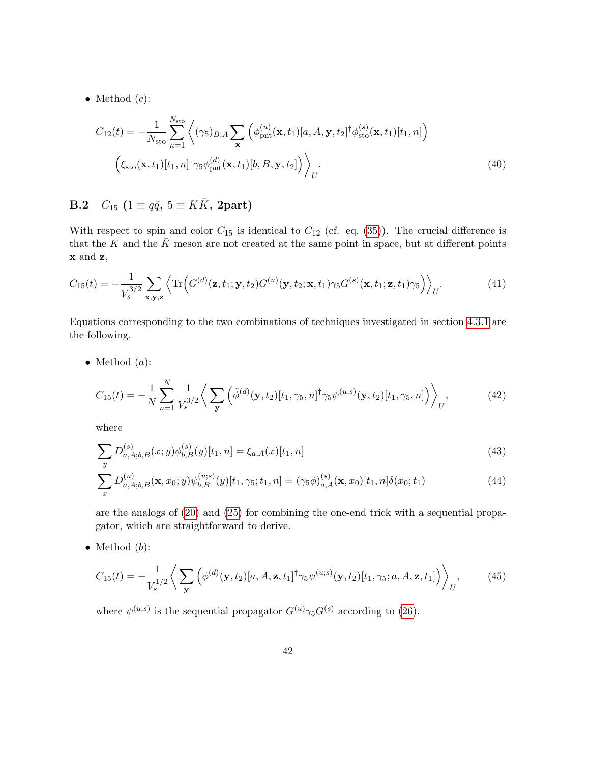• Method  $(c)$ :

$$
C_{12}(t) = -\frac{1}{N_{\rm sto}} \sum_{n=1}^{N_{\rm sto}} \left\langle (\gamma_5)_{B;A} \sum_{\mathbf{x}} \left( \phi_{\rm pnt}^{(u)}(\mathbf{x}, t_1)[a, A, \mathbf{y}, t_2]^{\dagger} \phi_{\rm sto}^{(s)}(\mathbf{x}, t_1)[t_1, n] \right) \right\rangle
$$

$$
\left( \xi_{\rm sto}(\mathbf{x}, t_1)[t_1, n]^{\dagger} \gamma_5 \phi_{\rm pnt}^{(d)}(\mathbf{x}, t_1)[b, B, \mathbf{y}, t_2] \right) \Bigg\rangle_U.
$$
(40)

<span id="page-42-0"></span>B.2  $C_{15}$  ( $1 \equiv q\bar{q}, 5 \equiv K\bar{K}$ , 2part)

With respect to spin and color  $C_{15}$  is identical to  $C_{12}$  (cf. eq. [\(35\)](#page-41-2)). The crucial difference is that the K and the  $\bar{K}$  meson are not created at the same point in space, but at different points x and z,

$$
C_{15}(t) = -\frac{1}{V_s^{3/2}} \sum_{\mathbf{x}, \mathbf{y}, \mathbf{z}} \left\langle \text{Tr} \left( G^{(d)}(\mathbf{z}, t_1; \mathbf{y}, t_2) G^{(u)}(\mathbf{y}, t_2; \mathbf{x}, t_1) \gamma_5 G^{(s)}(\mathbf{x}, t_1; \mathbf{z}, t_1) \gamma_5 \right) \right\rangle_U.
$$
(41)

Equations corresponding to the two combinations of techniques investigated in section [4.3.1](#page-16-0) are the following.

• Method  $(a)$ :

$$
C_{15}(t) = -\frac{1}{N} \sum_{n=1}^{N} \frac{1}{V_s^{3/2}} \left\langle \sum_{\mathbf{y}} \left( \tilde{\phi}^{(d)}(\mathbf{y}, t_2) [t_1, \gamma_5, n]^\dagger \gamma_5 \psi^{(u; s)}(\mathbf{y}, t_2) [t_1, \gamma_5, n] \right) \right\rangle_U, \tag{42}
$$

where

$$
\sum_{y} D_{a,A;b,B}^{(s)}(x;y)\phi_{b,B}^{(s)}(y)[t_1,n] = \xi_{a,A}(x)[t_1,n]
$$
\n(43)

$$
\sum_{x} D_{a,A;b,B}^{(u)}(\mathbf{x},x_0;y)\psi_{b,B}^{(u;s)}(y)[t_1,\gamma_5;t_1,n] = (\gamma_5 \phi)_{a,A}^{(s)}(\mathbf{x},x_0)[t_1,n]\delta(x_0;t_1)
$$
\n(44)

are the analogs of [\(20\)](#page-9-4) and [\(25\)](#page-10-2) for combining the one-end trick with a sequential propagator, which are straightforward to derive.

• Method  $(b)$ :

$$
C_{15}(t) = -\frac{1}{V_s^{1/2}} \bigg\langle \sum_{\mathbf{y}} \left( \phi^{(d)}(\mathbf{y}, t_2) [a, A, \mathbf{z}, t_1]^{\dagger} \gamma_5 \psi^{(u;s)}(\mathbf{y}, t_2) [t_1, \gamma_5; a, A, \mathbf{z}, t_1] \right) \bigg\rangle_U, \tag{45}
$$

where  $\psi^{(u;s)}$  is the sequential propagator  $G^{(u)}\gamma_5 G^{(s)}$  according to [\(26\)](#page-10-1).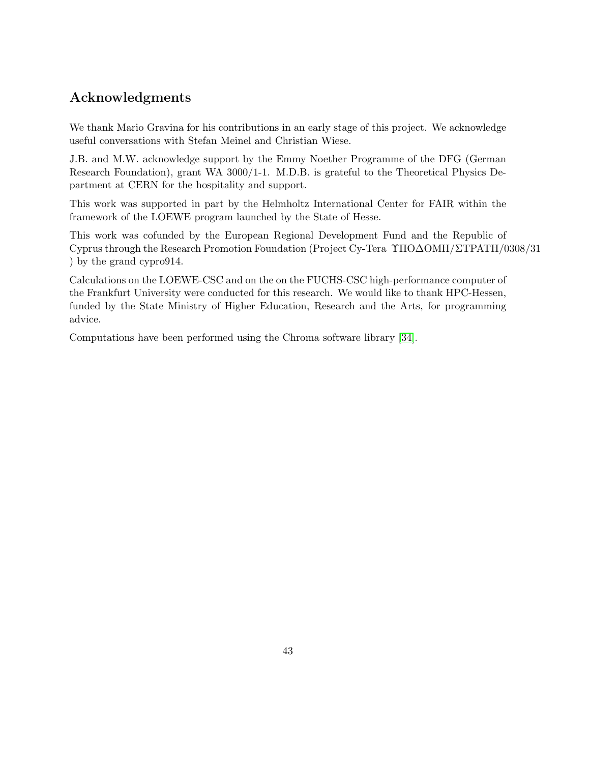# Acknowledgments

We thank Mario Gravina for his contributions in an early stage of this project. We acknowledge useful conversations with Stefan Meinel and Christian Wiese.

J.B. and M.W. acknowledge support by the Emmy Noether Programme of the DFG (German Research Foundation), grant WA 3000/1-1. M.D.B. is grateful to the Theoretical Physics Department at CERN for the hospitality and support.

This work was supported in part by the Helmholtz International Center for FAIR within the framework of the LOEWE program launched by the State of Hesse.

This work was cofunded by the European Regional Development Fund and the Republic of Cyprus through the Research Promotion Foundation (Project Cy-Tera ΥΠO∆OMH/ΣTPATH/0308/31 ) by the grand cypro914.

Calculations on the LOEWE-CSC and on the on the FUCHS-CSC high-performance computer of the Frankfurt University were conducted for this research. We would like to thank HPC-Hessen, funded by the State Ministry of Higher Education, Research and the Arts, for programming advice.

Computations have been performed using the Chroma software library [\[34\]](#page-46-5).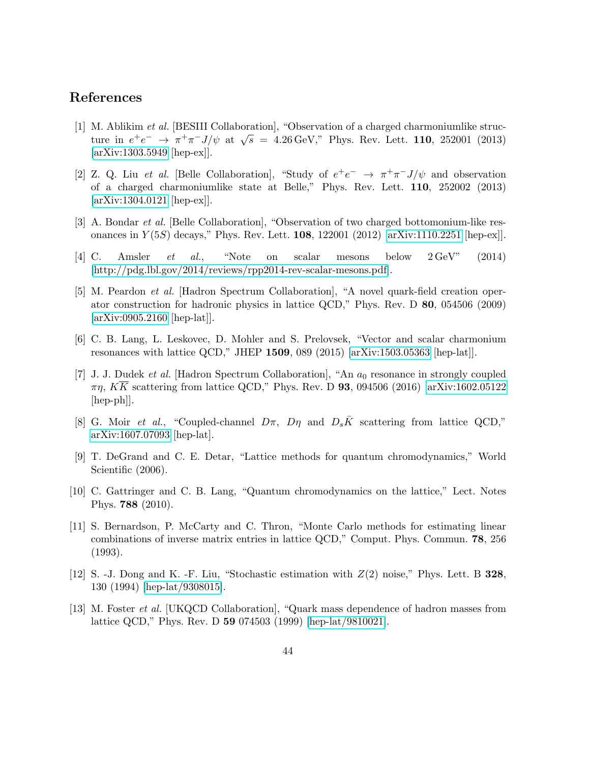## References

- <span id="page-44-0"></span>[1] M. Ablikim et al. [BESIII Collaboration], "Observation of a charged charmoniumlike structure in  $e^+e^- \to \pi^+\pi^- J/\psi$  at  $\sqrt{s} = 4.26 \,\text{GeV}$ ," Phys. Rev. Lett. 110, 252001 (2013) [\[arXiv:1303.5949](http://arxiv.org/abs/1303.5949) [hep-ex]].
- <span id="page-44-1"></span>[2] Z. Q. Liu *et al.* [Belle Collaboration], "Study of  $e^+e^- \rightarrow \pi^+\pi^-J/\psi$  and observation of a charged charmoniumlike state at Belle," Phys. Rev. Lett. 110, 252002 (2013) [\[arXiv:1304.0121](http://arxiv.org/abs/1304.0121) [hep-ex]].
- <span id="page-44-2"></span>[3] A. Bondar et al. [Belle Collaboration], "Observation of two charged bottomonium-like resonances in  $Y(5S)$  decays," Phys. Rev. Lett. **108**, 122001 (2012) [\[arXiv:1110.2251](http://arxiv.org/abs/1110.2251) [hep-ex]].
- <span id="page-44-3"></span>[4] C. Amsler et al., "Note on scalar mesons below 2 GeV" (2014) [\[http://pdg.lbl.gov/2014/reviews/rpp2014-rev-scalar-mesons.pdf\]](http://pdg.lbl.gov/2014/reviews/rpp2014-rev-scalar-mesons.pdf).
- <span id="page-44-4"></span>[5] M. Peardon et al. [Hadron Spectrum Collaboration], "A novel quark-field creation operator construction for hadronic physics in lattice QCD," Phys. Rev. D 80, 054506 (2009) [\[arXiv:0905.2160](http://arxiv.org/abs/0905.2160) [hep-lat]].
- <span id="page-44-5"></span>[6] C. B. Lang, L. Leskovec, D. Mohler and S. Prelovsek, "Vector and scalar charmonium resonances with lattice QCD," JHEP 1509, 089 (2015) [\[arXiv:1503.05363](http://arxiv.org/abs/1503.05363) [hep-lat]].
- <span id="page-44-6"></span>[7] J. J. Dudek et al. [Hadron Spectrum Collaboration], "An  $a_0$  resonance in strongly coupled  $\pi\eta$ ,  $K\overline{K}$  scattering from lattice QCD," Phys. Rev. D **93**, 094506 (2016) [\[arXiv:1602.05122](http://arxiv.org/abs/1602.05122) [hep-ph]].
- <span id="page-44-7"></span>[8] G. Moir et al., "Coupled-channel  $D\pi$ ,  $D\eta$  and  $D_s\bar{K}$  scattering from lattice QCD," [arXiv:1607.07093](http://arxiv.org/abs/1607.07093) [hep-lat].
- <span id="page-44-8"></span>[9] T. DeGrand and C. E. Detar, "Lattice methods for quantum chromodynamics," World Scientific  $(2006)$ .
- <span id="page-44-9"></span>[10] C. Gattringer and C. B. Lang, "Quantum chromodynamics on the lattice," Lect. Notes Phys. 788 (2010).
- <span id="page-44-10"></span>[11] S. Bernardson, P. McCarty and C. Thron, "Monte Carlo methods for estimating linear combinations of inverse matrix entries in lattice QCD," Comput. Phys. Commun. 78, 256 (1993).
- <span id="page-44-11"></span>[12] S. -J. Dong and K. -F. Liu, "Stochastic estimation with  $Z(2)$  noise," Phys. Lett. B 328, 130 (1994) [\[hep-lat/9308015\]](http://arxiv.org/abs/hep-lat/9308015).
- <span id="page-44-12"></span>[13] M. Foster et al. [UKQCD Collaboration], "Quark mass dependence of hadron masses from lattice QCD," Phys. Rev. D 59 074503 (1999) [\[hep-lat/9810021\]](http://arxiv.org/abs/hep-lat/9810021).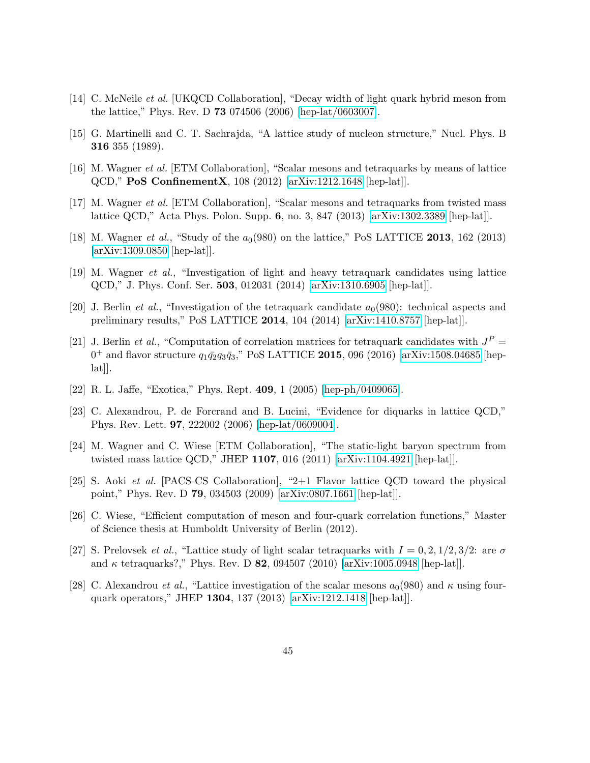- <span id="page-45-0"></span>[14] C. McNeile et al. [UKQCD Collaboration], "Decay width of light quark hybrid meson from the lattice," Phys. Rev. D 73 074506 (2006) [\[hep-lat/0603007\]](http://arxiv.org/abs/hep-lat/0603007).
- <span id="page-45-1"></span>[15] G. Martinelli and C. T. Sachrajda, "A lattice study of nucleon structure," Nucl. Phys. B 316 355 (1989).
- <span id="page-45-2"></span>[16] M. Wagner et al. [ETM Collaboration], "Scalar mesons and tetraquarks by means of lattice QCD," PoS ConfinementX, 108 (2012) [\[arXiv:1212.1648](http://arxiv.org/abs/1212.1648) [hep-lat]].
- <span id="page-45-3"></span>[17] M. Wagner et al. [ETM Collaboration], "Scalar mesons and tetraquarks from twisted mass lattice QCD," Acta Phys. Polon. Supp. 6, no. 3, 847 (2013) [\[arXiv:1302.3389](http://arxiv.org/abs/1302.3389) [hep-lat]].
- <span id="page-45-4"></span>[18] M. Wagner *et al.*, "Study of the  $a_0(980)$  on the lattice," PoS LATTICE 2013, 162 (2013) [\[arXiv:1309.0850](http://arxiv.org/abs/1309.0850) [hep-lat]].
- <span id="page-45-5"></span>[19] M. Wagner et al., "Investigation of light and heavy tetraquark candidates using lattice QCD," J. Phys. Conf. Ser. 503, 012031 (2014) [\[arXiv:1310.6905](http://arxiv.org/abs/1310.6905) [hep-lat]].
- <span id="page-45-6"></span>[20] J. Berlin *et al.*, "Investigation of the tetraquark candidate  $a_0(980)$ : technical aspects and preliminary results," PoS LATTICE 2014, 104 (2014) [\[arXiv:1410.8757](http://arxiv.org/abs/1410.8757) [hep-lat]].
- <span id="page-45-7"></span>[21] J. Berlin *et al.*, "Computation of correlation matrices for tetraquark candidates with  $J^P =$  $0^{+}$  and flavor structure  $q_1\bar{q_2}q_3\bar{q_3}$ ," PoS LATTICE 2015, 096 (2016) [\[arXiv:1508.04685](http://arxiv.org/abs/1508.04685) [hep- $|hat||$ .
- <span id="page-45-8"></span>[22] R. L. Jaffe, "Exotica," Phys. Rept. 409, 1 (2005) [\[hep-ph/0409065\]](http://arxiv.org/abs/hep-ph/0409065).
- <span id="page-45-9"></span>[23] C. Alexandrou, P. de Forcrand and B. Lucini, "Evidence for diquarks in lattice QCD," Phys. Rev. Lett. 97, 222002 (2006) [\[hep-lat/0609004\]](http://arxiv.org/abs/hep-lat/0609004).
- <span id="page-45-10"></span>[24] M. Wagner and C. Wiese [ETM Collaboration], "The static-light baryon spectrum from twisted mass lattice QCD," JHEP 1107, 016 (2011) [\[arXiv:1104.4921](http://arxiv.org/abs/1104.4921) [hep-lat]].
- <span id="page-45-11"></span>[25] S. Aoki et al. [PACS-CS Collaboration], "2+1 Flavor lattice QCD toward the physical point," Phys. Rev. D 79, 034503 (2009) [\[arXiv:0807.1661](http://arxiv.org/abs/0807.1661) [hep-lat]].
- <span id="page-45-12"></span>[26] C. Wiese, "Efficient computation of meson and four-quark correlation functions," Master of Science thesis at Humboldt University of Berlin (2012).
- <span id="page-45-13"></span>[27] S. Prelovsek *et al.*, "Lattice study of light scalar tetraquarks with  $I = 0, 2, 1/2, 3/2$ : are  $\sigma$ and  $\kappa$  tetraquarks?," Phys. Rev. D 82, 094507 (2010) [\[arXiv:1005.0948](http://arxiv.org/abs/1005.0948) [hep-lat]].
- <span id="page-45-14"></span>[28] C. Alexandrou *et al.*, "Lattice investigation of the scalar mesons  $a_0(980)$  and  $\kappa$  using fourquark operators," JHEP 1304, 137 (2013) [\[arXiv:1212.1418](http://arxiv.org/abs/1212.1418) [hep-lat]].